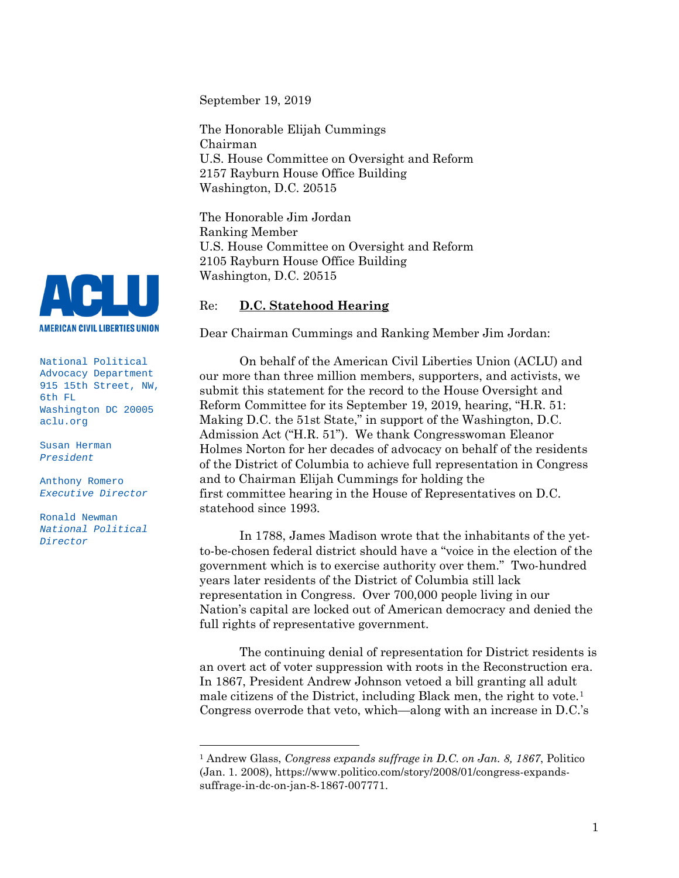September 19, 2019

The Honorable Elijah Cummings Chairman U.S. House Committee on Oversight and Reform 2157 Rayburn House Office Building Washington, D.C. 20515

The Honorable Jim Jordan Ranking Member U.S. House Committee on Oversight and Reform 2105 Rayburn House Office Building Washington, D.C. 20515

# Re: **D.C. Statehood Hearing**

Dear Chairman Cummings and Ranking Member Jim Jordan:

On behalf of the American Civil Liberties Union (ACLU) and our more than three million members, supporters, and activists, we submit this statement for the record to the House Oversight and Reform Committee for its September 19, 2019, hearing, "H.R. 51: Making D.C. the 51st State," in support of the Washington, D.C. Admission Act ("H.R. 51"). We thank Congresswoman Eleanor Holmes Norton for her decades of advocacy on behalf of the residents of the District of Columbia to achieve full representation in Congress and to Chairman Elijah Cummings for holding the first committee hearing in the House of Representatives on D.C. statehood since 1993.

In 1788, James Madison wrote that the inhabitants of the yetto-be-chosen federal district should have a "voice in the election of the government which is to exercise authority over them." Two-hundred years later residents of the District of Columbia still lack representation in Congress. Over 700,000 people living in our Nation's capital are locked out of American democracy and denied the full rights of representative government.

The continuing denial of representation for District residents is an overt act of voter suppression with roots in the Reconstruction era. In 1867, President Andrew Johnson vetoed a bill granting all adult male citizens of the District, including Black men, the right to vote.<sup>[1](#page-0-0)</sup> Congress overrode that veto, which—along with an increase in D.C.'s



National Political Advocacy Department 915 15th Street, NW, 6th FL Washington DC 20005 aclu.org

Susan Herman *President*

Anthony Romero *Executive Director*

Ronald Newman *National Political Director*

<span id="page-0-0"></span><sup>1</sup> Andrew Glass, *Congress expands suffrage in D.C. on Jan. 8, 1867*, Politico (Jan. 1. 2008), https://www.politico.com/story/2008/01/congress-expandssuffrage-in-dc-on-jan-8-1867-007771.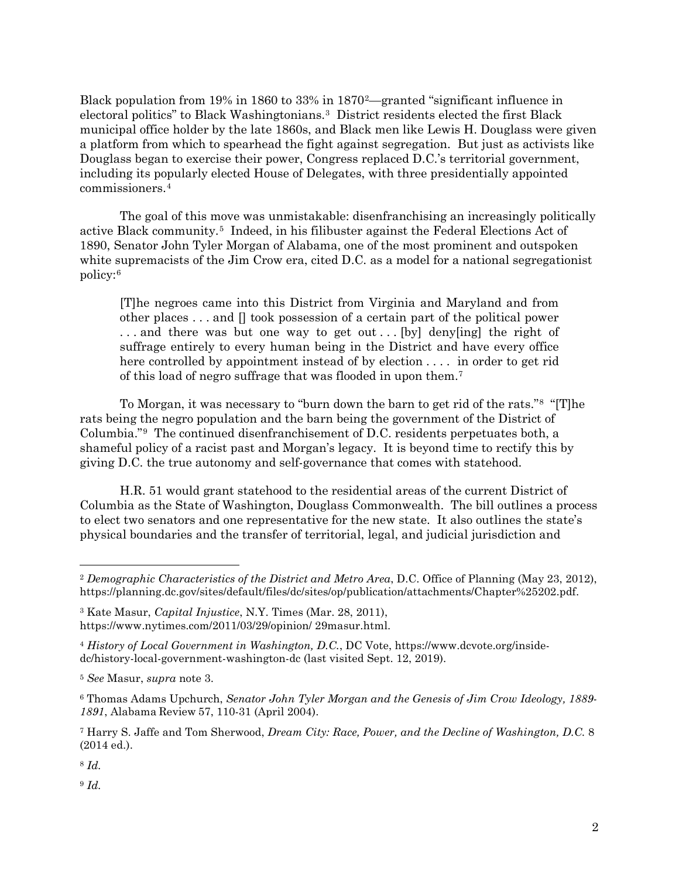Black population from 19% in 1860 to 33% in 1870[2—](#page-1-0)granted "significant influence in electoral politics" to Black Washingtonians.[3](#page-1-1) District residents elected the first Black municipal office holder by the late 1860s, and Black men like Lewis H. Douglass were given a platform from which to spearhead the fight against segregation. But just as activists like Douglass began to exercise their power, Congress replaced D.C.'s territorial government, including its popularly elected House of Delegates, with three presidentially appointed commissioners.[4](#page-1-2)

The goal of this move was unmistakable: disenfranchising an increasingly politically active Black community.[5](#page-1-3) Indeed, in his filibuster against the Federal Elections Act of 1890, Senator John Tyler Morgan of Alabama, one of the most prominent and outspoken white supremacists of the Jim Crow era, cited D.C. as a model for a national segregationist policy:[6](#page-1-4)

[T]he negroes came into this District from Virginia and Maryland and from other places  $\dots$  and  $\Box$  took possession of a certain part of the political power ... and there was but one way to get out... [by] deny[ing] the right of suffrage entirely to every human being in the District and have every office here controlled by appointment instead of by election . . . . in order to get rid of this load of negro suffrage that was flooded in upon them.[7](#page-1-5)

To Morgan, it was necessary to "burn down the barn to get rid of the rats."[8](#page-1-6) "[T]he rats being the negro population and the barn being the government of the District of Columbia."[9](#page-1-7) The continued disenfranchisement of D.C. residents perpetuates both, a shameful policy of a racist past and Morgan's legacy. It is beyond time to rectify this by giving D.C. the true autonomy and self-governance that comes with statehood.

H.R. 51 would grant statehood to the residential areas of the current District of Columbia as the State of Washington, Douglass Commonwealth. The bill outlines a process to elect two senators and one representative for the new state. It also outlines the state's physical boundaries and the transfer of territorial, legal, and judicial jurisdiction and

<span id="page-1-6"></span><sup>8</sup> *Id.* 

 $\overline{a}$ 

<span id="page-1-7"></span><sup>9</sup> *Id.*

<span id="page-1-0"></span><sup>2</sup> *Demographic Characteristics of the District and Metro Area*, D.C. Office of Planning (May 23, 2012), https://planning.dc.gov/sites/default/files/dc/sites/op/publication/attachments/Chapter%25202.pdf.

<span id="page-1-1"></span><sup>3</sup> Kate Masur, *Capital Injustice*, N.Y. Times (Mar. 28, 2011), https://www.nytimes.com/2011/03/29/opinion/ 29masur.html.

<span id="page-1-2"></span><sup>4</sup> *History of Local Government in Washington, D.C.*, DC Vote, https://www.dcvote.org/insidedc/history-local-government-washington-dc (last visited Sept. 12, 2019).

<span id="page-1-3"></span><sup>5</sup> *See* Masur, *supra* note 3.

<span id="page-1-4"></span><sup>6</sup> Thomas Adams Upchurch, *Senator John Tyler Morgan and the Genesis of Jim Crow Ideology, 1889- 1891*, Alabama Review 57, 110-31 (April 2004).

<span id="page-1-5"></span><sup>7</sup> Harry S. Jaffe and Tom Sherwood, *Dream City: Race, Power, and the Decline of Washington, D.C.* 8 (2014 ed.).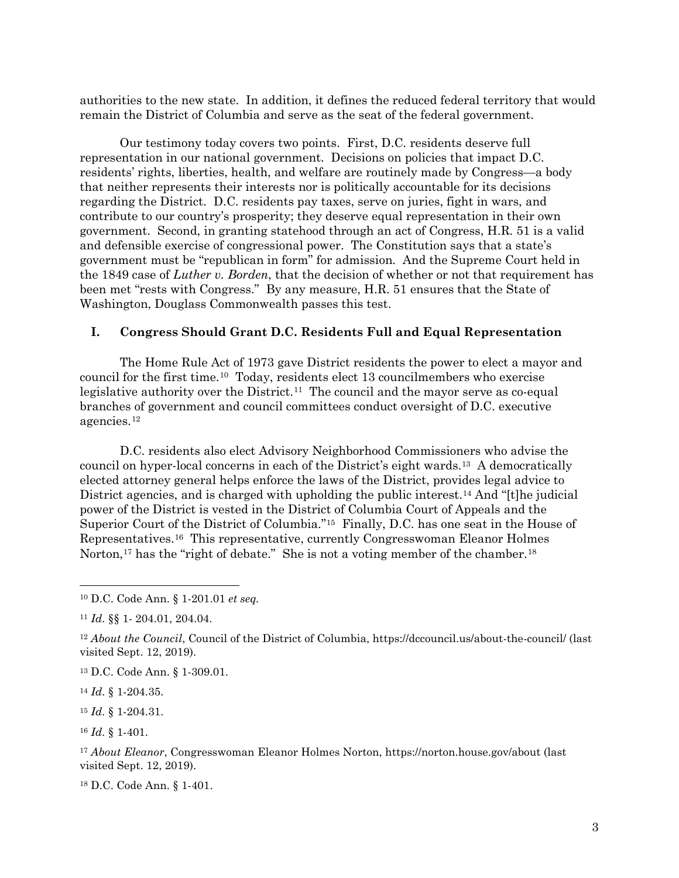authorities to the new state. In addition, it defines the reduced federal territory that would remain the District of Columbia and serve as the seat of the federal government.

Our testimony today covers two points. First, D.C. residents deserve full representation in our national government. Decisions on policies that impact D.C. residents' rights, liberties, health, and welfare are routinely made by Congress—a body that neither represents their interests nor is politically accountable for its decisions regarding the District.D.C. residents pay taxes, serve on juries, fight in wars, and contribute to our country's prosperity; they deserve equal representation in their own government. Second, in granting statehood through an act of Congress, H.R. 51 is a valid and defensible exercise of congressional power. The Constitution says that a state's government must be "republican in form" for admission. And the Supreme Court held in the 1849 case of *Luther v. Borden*, that the decision of whether or not that requirement has been met "rests with Congress." By any measure, H.R. 51 ensures that the State of Washington, Douglass Commonwealth passes this test.

## **I. Congress Should Grant D.C. Residents Full and Equal Representation**

The Home Rule Act of 1973 gave District residents the power to elect a mayor and council for the first time.[10](#page-2-0) Today, residents elect 13 councilmembers who exercise legislative authority over the District.<sup>[11](#page-2-1)</sup> The council and the mayor serve as co-equal branches of government and council committees conduct oversight of D.C. executive agencies.[12](#page-2-2)

D.C. residents also elect Advisory Neighborhood Commissioners who advise the council on hyper-local concerns in each of the District's eight wards.[13](#page-2-3) A democratically elected attorney general helps enforce the laws of the District, provides legal advice to District agencies, and is charged with upholding the public interest.[14](#page-2-4) And "[t]he judicial power of the District is vested in the District of Columbia Court of Appeals and the Superior Court of the District of Columbia."[15](#page-2-5) Finally, D.C. has one seat in the House of Representatives.[16](#page-2-6) This representative, currently Congresswoman Eleanor Holmes Norton,<sup>[17](#page-2-7)</sup> has the "right of debate." She is not a voting member of the chamber.<sup>[18](#page-2-8)</sup>

<span id="page-2-3"></span><sup>13</sup> D.C. Code Ann. § 1-309.01.

<span id="page-2-4"></span><sup>14</sup> *Id.* § 1-204.35.

 $\overline{a}$ 

<span id="page-2-5"></span><sup>15</sup> *Id.* § 1-204.31.

<span id="page-2-6"></span><sup>16</sup> *Id.* § 1-401.

<span id="page-2-7"></span><sup>17</sup> *About Eleanor*, Congresswoman Eleanor Holmes Norton, https://norton.house.gov/about (last visited Sept. 12, 2019).

<span id="page-2-8"></span><sup>18</sup> D.C. Code Ann. § 1-401.

<span id="page-2-0"></span><sup>10</sup> D.C. Code Ann. § 1-201.01 *et seq.*

<span id="page-2-1"></span><sup>11</sup> *Id.* §§ 1- 204.01, 204.04.

<span id="page-2-2"></span><sup>&</sup>lt;sup>12</sup> *About the Council*, Council of the District of Columbia, https://dccouncil.us/about-the-council/ (last visited Sept. 12, 2019).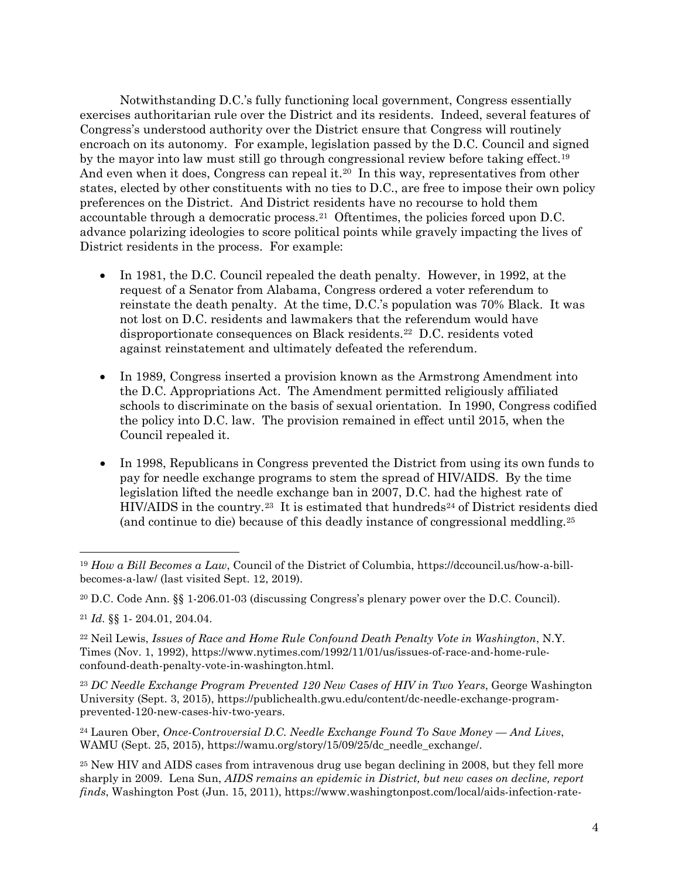Notwithstanding D.C.'s fully functioning local government, Congress essentially exercises authoritarian rule over the District and its residents. Indeed, several features of Congress's understood authority over the District ensure that Congress will routinely encroach on its autonomy. For example, legislation passed by the D.C. Council and signed by the mayor into law must still go through congressional review before taking effect.<sup>[19](#page-3-0)</sup> And even when it does, Congress can repeal it.<sup>[20](#page-3-1)</sup> In this way, representatives from other states, elected by other constituents with no ties to D.C., are free to impose their own policy preferences on the District. And District residents have no recourse to hold them accountable through a democratic process.<sup>[21](#page-3-2)</sup> Oftentimes, the policies forced upon D.C. advance polarizing ideologies to score political points while gravely impacting the lives of District residents in the process. For example:

- In 1981, the D.C. Council repealed the death penalty. However, in 1992, at the request of a Senator from Alabama, Congress ordered a voter referendum to reinstate the death penalty. At the time, D.C.'s population was 70% Black. It was not lost on D.C. residents and lawmakers that the referendum would have disproportionate consequences on Black residents.[22](#page-3-3) D.C. residents voted against reinstatement and ultimately defeated the referendum.
- In 1989, Congress inserted a provision known as the Armstrong Amendment into the D.C. Appropriations Act. The Amendment permitted religiously affiliated schools to discriminate on the basis of sexual orientation. In 1990, Congress codified the policy into D.C. law. The provision remained in effect until 2015, when the Council repealed it.
- In 1998, Republicans in Congress prevented the District from using its own funds to pay for needle exchange programs to stem the spread of HIV/AIDS. By the time legislation lifted the needle exchange ban in 2007, D.C. had the highest rate of  $HIV/ALDS$  in the country.<sup>[23](#page-3-4)</sup> It is estimated that hundreds<sup>[24](#page-3-5)</sup> of District residents died (and continue to die) because of this deadly instance of congressional meddling.[25](#page-3-6)

 $\overline{a}$ 

<span id="page-3-4"></span><sup>23</sup> *DC Needle Exchange Program Prevented 120 New Cases of HIV in Two Years*, George Washington University (Sept. 3, 2015), https://publichealth.gwu.edu/content/dc-needle-exchange-programprevented-120-new-cases-hiv-two-years.

<span id="page-3-5"></span><sup>24</sup> Lauren Ober, *Once-Controversial D.C. Needle Exchange Found To Save Money — And Lives*, WAMU (Sept. 25, 2015), https://wamu.org/story/15/09/25/dc\_needle\_exchange/.

<span id="page-3-0"></span><sup>19</sup> *How a Bill Becomes a Law*, Council of the District of Columbia, https://dccouncil.us/how-a-billbecomes-a-law/ (last visited Sept. 12, 2019).

<span id="page-3-1"></span><sup>20</sup> D.C. Code Ann. §§ 1-206.01-03 (discussing Congress's plenary power over the D.C. Council).

<span id="page-3-2"></span><sup>21</sup> *Id.* §§ 1- 204.01, 204.04.

<span id="page-3-3"></span><sup>22</sup> Neil Lewis, *Issues of Race and Home Rule Confound Death Penalty Vote in Washington*, N.Y. Times (Nov. 1, 1992), [https://www.nytimes.com/1992/11/01/us/issues-of-race-and-home-rule](https://www.nytimes.com/1992/11/01/us/issues-of-race-and-home-rule-confound-death-penalty-vote-in-washington.html)[confound-death-penalty-vote-in-washington.html.](https://www.nytimes.com/1992/11/01/us/issues-of-race-and-home-rule-confound-death-penalty-vote-in-washington.html)

<span id="page-3-6"></span><sup>&</sup>lt;sup>25</sup> New HIV and AIDS cases from intravenous drug use began declining in 2008, but they fell more sharply in 2009. Lena Sun, *AIDS remains an epidemic in District, but new cases on decline, report finds*, Washington Post (Jun. 15, 2011), https://www.washingtonpost.com/local/aids-infection-rate-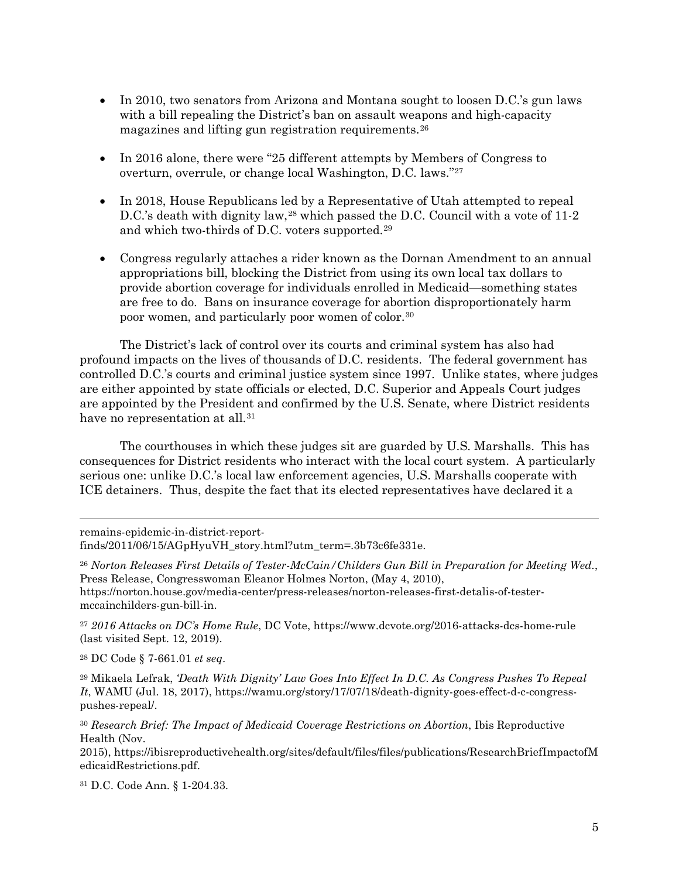- In 2010, two senators from Arizona and Montana sought to loosen D.C.'s gun laws with a bill repealing the District's ban on assault weapons and high-capacity magazines and lifting gun registration requirements.[26](#page-4-0)
- In 2016 alone, there were "25 different attempts by Members of Congress to overturn, overrule, or change local Washington, D.C. laws."[27](#page-4-1)
- In 2018, House Republicans led by a Representative of Utah attempted to repeal D.C.'s death with dignity law,<sup>[28](#page-4-2)</sup> which passed the D.C. Council with a vote of 11-2 and which two-thirds of D.C. voters supported.[29](#page-4-3)
- Congress regularly attaches a rider known as the Dornan Amendment to an annual appropriations bill, blocking the District from using its own local tax dollars to provide abortion coverage for individuals enrolled in Medicaid—something states are free to do. Bans on insurance coverage for abortion disproportionately harm poor women, and particularly poor women of color.[30](#page-4-4)

The District's lack of control over its courts and criminal system has also had profound impacts on the lives of thousands of D.C. residents. The federal government has controlled D.C.'s courts and criminal justice system since 1997. Unlike states, where judges are either appointed by state officials or elected, D.C. Superior and Appeals Court judges are appointed by the President and confirmed by the U.S. Senate, where District residents have no representation at all.<sup>[31](#page-4-5)</sup>

The courthouses in which these judges sit are guarded by U.S. Marshalls. This has consequences for District residents who interact with the local court system. A particularly serious one: unlike D.C.'s local law enforcement agencies, U.S. Marshalls cooperate with ICE detainers. Thus, despite the fact that its elected representatives have declared it a

remains-epidemic-in-district-report-

 $\overline{a}$ 

finds/2011/06/15/AGpHyuVH\_story.html?utm\_term=.3b73c6fe331e.

<span id="page-4-1"></span><sup>27</sup> *2016 Attacks on DC's Home Rule*, DC Vote, https://www.dcvote.org/2016-attacks-dcs-home-rule (last visited Sept. 12, 2019).

<span id="page-4-2"></span><sup>28</sup> DC Code § 7-661.01 *et seq*.

<span id="page-4-3"></span><sup>29</sup> Mikaela Lefrak, *'Death With Dignity' Law Goes Into Effect In D.C. As Congress Pushes To Repeal It*, WAMU (Jul. 18, 2017), https://wamu.org/story/17/07/18/death-dignity-goes-effect-d-c-congresspushes-repeal/.

<span id="page-4-4"></span><sup>30</sup> *Research Brief: The Impact of Medicaid Coverage Restrictions on Abortion*, Ibis Reproductive Health (Nov.

2015), https://ibisreproductivehealth.org/sites/default/files/files/publications/ResearchBriefImpactofM edicaidRestrictions.pdf.

<span id="page-4-5"></span><sup>31</sup> D.C. Code Ann. § 1-204.33.

<span id="page-4-0"></span><sup>26</sup> *Norton Releases First Details of Tester-McCain/Childers Gun Bill in Preparation for Meeting Wed.*, Press Release, Congresswoman Eleanor Holmes Norton, (May 4, 2010), https://norton.house.gov/media-center/press-releases/norton-releases-first-detalis-of-testermccainchilders-gun-bill-in.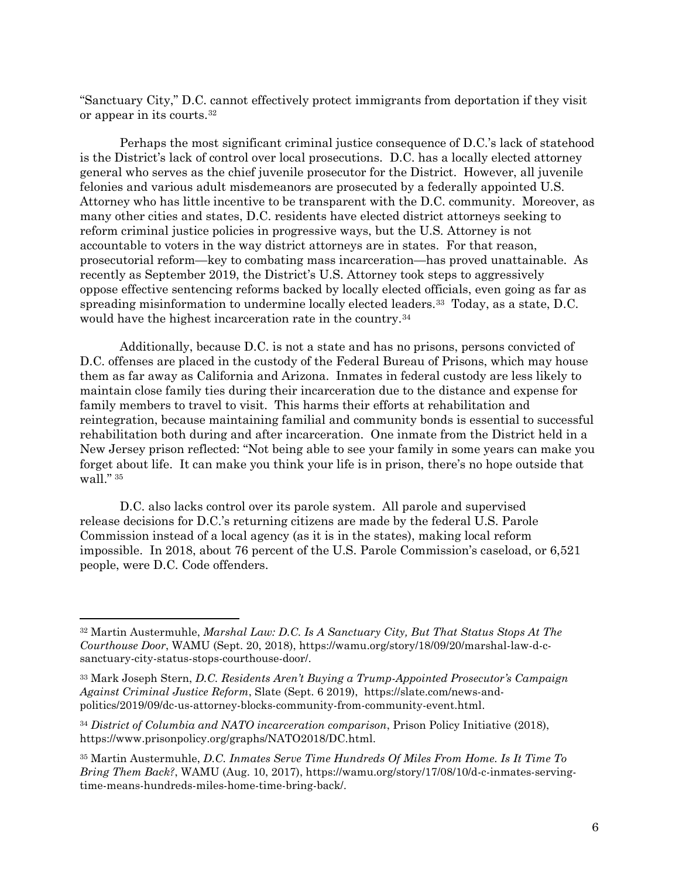"Sanctuary City," D.C. cannot effectively protect immigrants from deportation if they visit or appear in its courts.[32](#page-5-0)

Perhaps the most significant criminal justice consequence of D.C.'s lack of statehood is the District's lack of control over local prosecutions. D.C. has a locally elected attorney general who serves as the chief juvenile prosecutor for the District. However, all juvenile felonies and various adult misdemeanors are prosecuted by a federally appointed U.S. Attorney who has little incentive to be transparent with the D.C. community. Moreover, as many other cities and states, D.C. residents have elected district attorneys seeking to reform criminal justice policies in progressive ways, but the U.S. Attorney is not accountable to voters in the way district attorneys are in states. For that reason, prosecutorial reform—key to combating mass incarceration—has proved unattainable. As recently as September 2019, the District's U.S. Attorney took steps to aggressively oppose effective sentencing reforms backed by locally elected officials, even going as far as spreading misinformation to undermine locally elected leaders.<sup>[33](#page-5-1)</sup> Today, as a state, D.C. would have the highest incarceration rate in the country.<sup>[34](#page-5-2)</sup>

Additionally, because D.C. is not a state and has no prisons, persons convicted of D.C. offenses are placed in the custody of the Federal Bureau of Prisons, which may house them as far away as California and Arizona. Inmates in federal custody are less likely to maintain close family ties during their incarceration due to the distance and expense for family members to travel to visit. This harms their efforts at rehabilitation and reintegration, because maintaining familial and community bonds is essential to successful rehabilitation both during and after incarceration. One inmate from the District held in a New Jersey prison reflected: "Not being able to see your family in some years can make you forget about life. It can make you think your life is in prison, there's no hope outside that wall." [35](#page-5-3)

D.C. also lacks control over its parole system. All parole and supervised release decisions for D.C.'s returning citizens are made by the federal U.S. Parole Commission instead of a local agency (as it is in the states), making local reform impossible. In 2018, about 76 percent of the U.S. Parole Commission's caseload, or 6,521 people, were D.C. Code offenders.

<span id="page-5-0"></span><sup>32</sup> Martin Austermuhle, *Marshal Law: D.C. Is A Sanctuary City, But That Status Stops At The Courthouse Door*, WAMU (Sept. 20, 2018), https://wamu.org/story/18/09/20/marshal-law-d-csanctuary-city-status-stops-courthouse-door/.

<span id="page-5-1"></span><sup>33</sup> Mark Joseph Stern, *D.C. Residents Aren't Buying a Trump-Appointed Prosecutor's Campaign Against Criminal Justice Reform*, Slate (Sept. 6 2019), https://slate.com/news-andpolitics/2019/09/dc-us-attorney-blocks-community-from-community-event.html.

<span id="page-5-2"></span><sup>34</sup> *District of Columbia and NATO incarceration comparison*, Prison Policy Initiative (2018), https://www.prisonpolicy.org/graphs/NATO2018/DC.html.

<span id="page-5-3"></span><sup>35</sup> Martin Austermuhle, *D.C. Inmates Serve Time Hundreds Of Miles From Home. Is It Time To Bring Them Back?*, WAMU (Aug. 10, 2017), https://wamu.org/story/17/08/10/d-c-inmates-servingtime-means-hundreds-miles-home-time-bring-back/.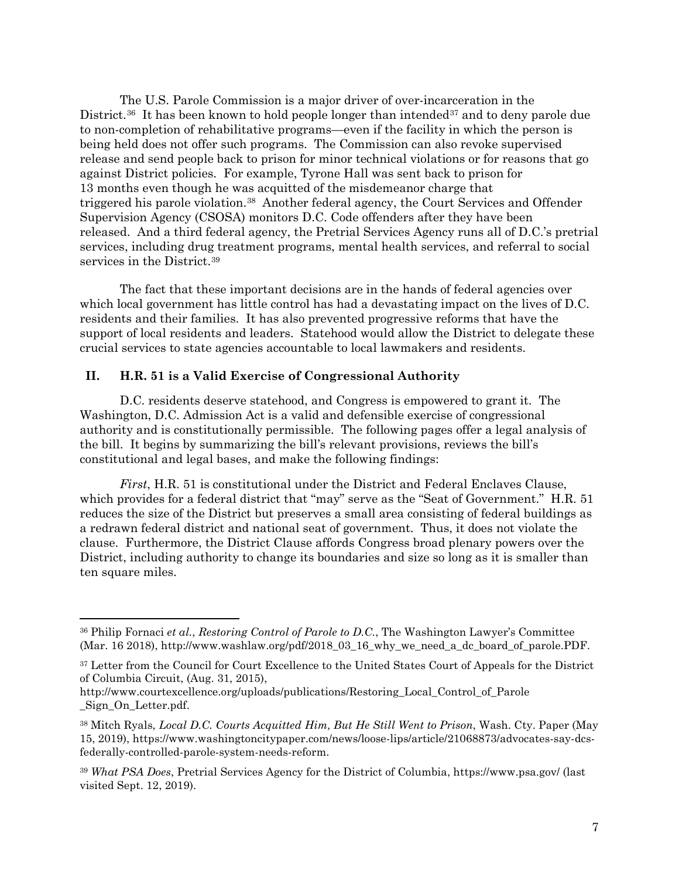The U.S. Parole Commission is a major driver of over-incarceration in the District.<sup>36</sup> It has been known to hold people longer than intended<sup>[37](#page-6-1)</sup> and to deny parole due to non-completion of rehabilitative programs—even if the facility in which the person is being held does not offer such programs. The Commission can also revoke supervised release and send people back to prison for minor technical violations or for reasons that go against District policies. For example, Tyrone Hall was sent back to prison for 13 months even though he was acquitted of the misdemeanor charge that triggered his parole violation.[38](#page-6-2) Another federal agency, the Court Services and Offender Supervision Agency (CSOSA) monitors D.C. Code offenders after they have been released. And a third federal agency, the Pretrial Services Agency runs all of D.C.'s pretrial services, including drug treatment programs, mental health services, and referral to social services in the District.<sup>[39](#page-6-3)</sup>

The fact that these important decisions are in the hands of federal agencies over which local government has little control has had a devastating impact on the lives of D.C. residents and their families. It has also prevented progressive reforms that have the support of local residents and leaders. Statehood would allow the District to delegate these crucial services to state agencies accountable to local lawmakers and residents.

### **II. H.R. 51 is a Valid Exercise of Congressional Authority**

 $\overline{a}$ 

D.C. residents deserve statehood, and Congress is empowered to grant it. The Washington, D.C. Admission Act is a valid and defensible exercise of congressional authority and is constitutionally permissible. The following pages offer a legal analysis of the bill. It begins by summarizing the bill's relevant provisions, reviews the bill's constitutional and legal bases, and make the following findings:

*First*, H.R. 51 is constitutional under the District and Federal Enclaves Clause, which provides for a federal district that "may" serve as the "Seat of Government." H.R. 51 reduces the size of the District but preserves a small area consisting of federal buildings as a redrawn federal district and national seat of government. Thus, it does not violate the clause. Furthermore, the District Clause affords Congress broad plenary powers over the District, including authority to change its boundaries and size so long as it is smaller than ten square miles.

<span id="page-6-0"></span><sup>36</sup> Philip Fornaci *et al.*, *Restoring Control of Parole to D.C.*, The Washington Lawyer's Committee (Mar. 16 2018), http://www.washlaw.org/pdf/2018\_03\_16\_why\_we\_need\_a\_dc\_board\_of\_parole.PDF.

<span id="page-6-1"></span><sup>&</sup>lt;sup>37</sup> Letter from the Council for Court Excellence to the United States Court of Appeals for the District of Columbia Circuit, (Aug. 31, 2015),

http://www.courtexcellence.org/uploads/publications/Restoring\_Local\_Control\_of\_Parole \_Sign\_On\_Letter.pdf.

<span id="page-6-2"></span><sup>38</sup> Mitch Ryals, *Local D.C. Courts Acquitted Him, But He Still Went to Prison*, Wash. Cty. Paper (May 15, 2019), https://www.washingtoncitypaper.com/news/loose-lips/article/21068873/advocates-say-dcsfederally-controlled-parole-system-needs-reform.

<span id="page-6-3"></span><sup>39</sup> *What PSA Does*, Pretrial Services Agency for the District of Columbia, https://www.psa.gov/ (last visited Sept. 12, 2019).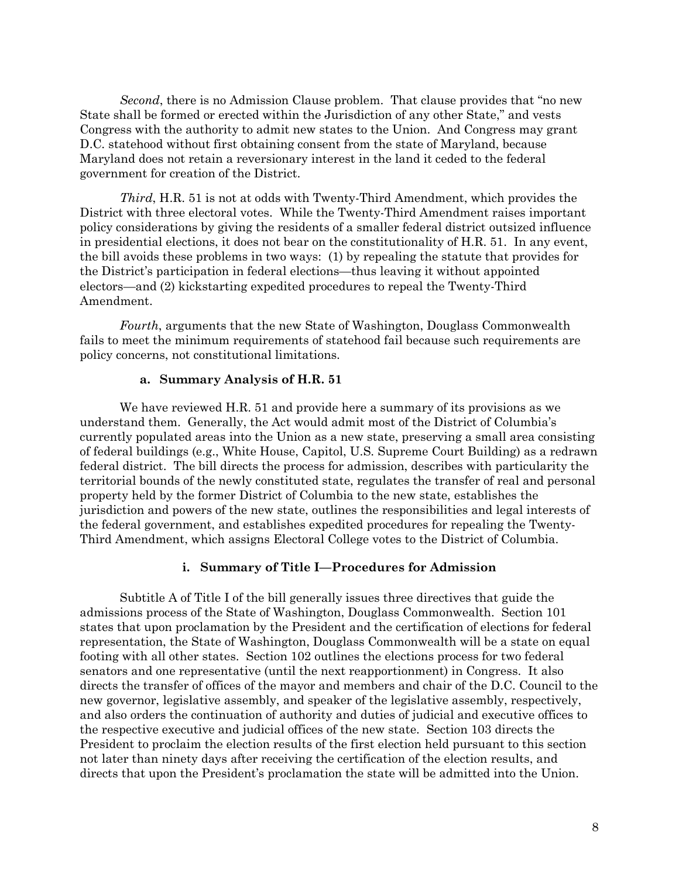*Second*, there is no Admission Clause problem. That clause provides that "no new State shall be formed or erected within the Jurisdiction of any other State," and vests Congress with the authority to admit new states to the Union. And Congress may grant D.C. statehood without first obtaining consent from the state of Maryland, because Maryland does not retain a reversionary interest in the land it ceded to the federal government for creation of the District.

*Third*, H.R. 51 is not at odds with Twenty-Third Amendment, which provides the District with three electoral votes. While the Twenty-Third Amendment raises important policy considerations by giving the residents of a smaller federal district outsized influence in presidential elections, it does not bear on the constitutionality of H.R. 51. In any event, the bill avoids these problems in two ways: (1) by repealing the statute that provides for the District's participation in federal elections—thus leaving it without appointed electors—and (2) kickstarting expedited procedures to repeal the Twenty-Third Amendment.

*Fourth*, arguments that the new State of Washington, Douglass Commonwealth fails to meet the minimum requirements of statehood fail because such requirements are policy concerns, not constitutional limitations.

#### **a. Summary Analysis of H.R. 51**

We have reviewed H.R. 51 and provide here a summary of its provisions as we understand them. Generally, the Act would admit most of the District of Columbia's currently populated areas into the Union as a new state, preserving a small area consisting of federal buildings (e.g., White House, Capitol, U.S. Supreme Court Building) as a redrawn federal district. The bill directs the process for admission, describes with particularity the territorial bounds of the newly constituted state, regulates the transfer of real and personal property held by the former District of Columbia to the new state, establishes the jurisdiction and powers of the new state, outlines the responsibilities and legal interests of the federal government, and establishes expedited procedures for repealing the Twenty-Third Amendment, which assigns Electoral College votes to the District of Columbia.

#### **i. Summary of Title I—Procedures for Admission**

Subtitle A of Title I of the bill generally issues three directives that guide the admissions process of the State of Washington, Douglass Commonwealth. Section 101 states that upon proclamation by the President and the certification of elections for federal representation, the State of Washington, Douglass Commonwealth will be a state on equal footing with all other states. Section 102 outlines the elections process for two federal senators and one representative (until the next reapportionment) in Congress. It also directs the transfer of offices of the mayor and members and chair of the D.C. Council to the new governor, legislative assembly, and speaker of the legislative assembly, respectively, and also orders the continuation of authority and duties of judicial and executive offices to the respective executive and judicial offices of the new state. Section 103 directs the President to proclaim the election results of the first election held pursuant to this section not later than ninety days after receiving the certification of the election results, and directs that upon the President's proclamation the state will be admitted into the Union.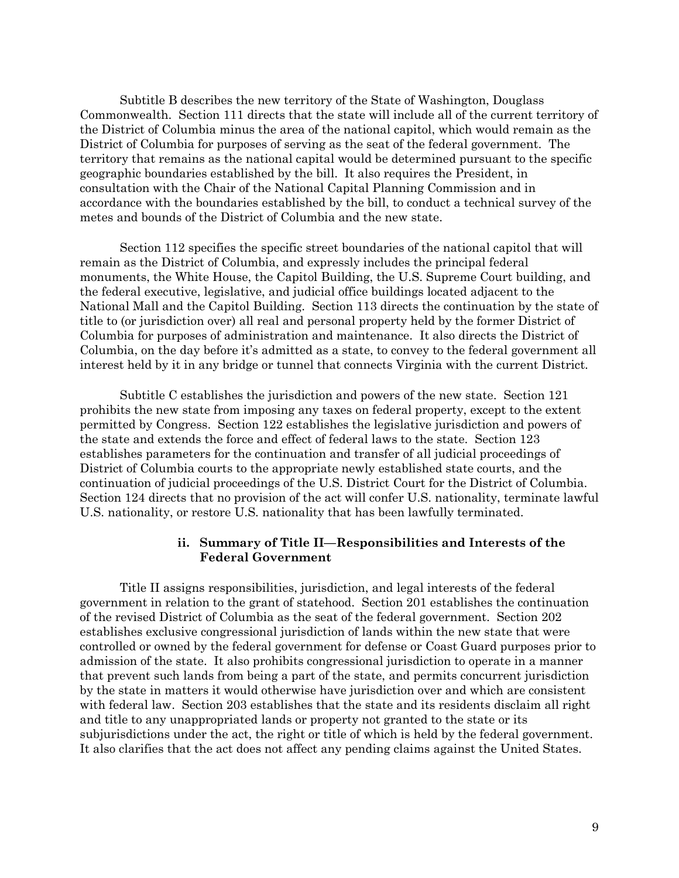Subtitle B describes the new territory of the State of Washington, Douglass Commonwealth. Section 111 directs that the state will include all of the current territory of the District of Columbia minus the area of the national capitol, which would remain as the District of Columbia for purposes of serving as the seat of the federal government. The territory that remains as the national capital would be determined pursuant to the specific geographic boundaries established by the bill. It also requires the President, in consultation with the Chair of the National Capital Planning Commission and in accordance with the boundaries established by the bill, to conduct a technical survey of the metes and bounds of the District of Columbia and the new state.

Section 112 specifies the specific street boundaries of the national capitol that will remain as the District of Columbia, and expressly includes the principal federal monuments, the White House, the Capitol Building, the U.S. Supreme Court building, and the federal executive, legislative, and judicial office buildings located adjacent to the National Mall and the Capitol Building. Section 113 directs the continuation by the state of title to (or jurisdiction over) all real and personal property held by the former District of Columbia for purposes of administration and maintenance. It also directs the District of Columbia, on the day before it's admitted as a state, to convey to the federal government all interest held by it in any bridge or tunnel that connects Virginia with the current District.

Subtitle C establishes the jurisdiction and powers of the new state. Section 121 prohibits the new state from imposing any taxes on federal property, except to the extent permitted by Congress. Section 122 establishes the legislative jurisdiction and powers of the state and extends the force and effect of federal laws to the state. Section 123 establishes parameters for the continuation and transfer of all judicial proceedings of District of Columbia courts to the appropriate newly established state courts, and the continuation of judicial proceedings of the U.S. District Court for the District of Columbia. Section 124 directs that no provision of the act will confer U.S. nationality, terminate lawful U.S. nationality, or restore U.S. nationality that has been lawfully terminated.

### **ii. Summary of Title II—Responsibilities and Interests of the Federal Government**

Title II assigns responsibilities, jurisdiction, and legal interests of the federal government in relation to the grant of statehood. Section 201 establishes the continuation of the revised District of Columbia as the seat of the federal government. Section 202 establishes exclusive congressional jurisdiction of lands within the new state that were controlled or owned by the federal government for defense or Coast Guard purposes prior to admission of the state. It also prohibits congressional jurisdiction to operate in a manner that prevent such lands from being a part of the state, and permits concurrent jurisdiction by the state in matters it would otherwise have jurisdiction over and which are consistent with federal law. Section 203 establishes that the state and its residents disclaim all right and title to any unappropriated lands or property not granted to the state or its subjurisdictions under the act, the right or title of which is held by the federal government. It also clarifies that the act does not affect any pending claims against the United States.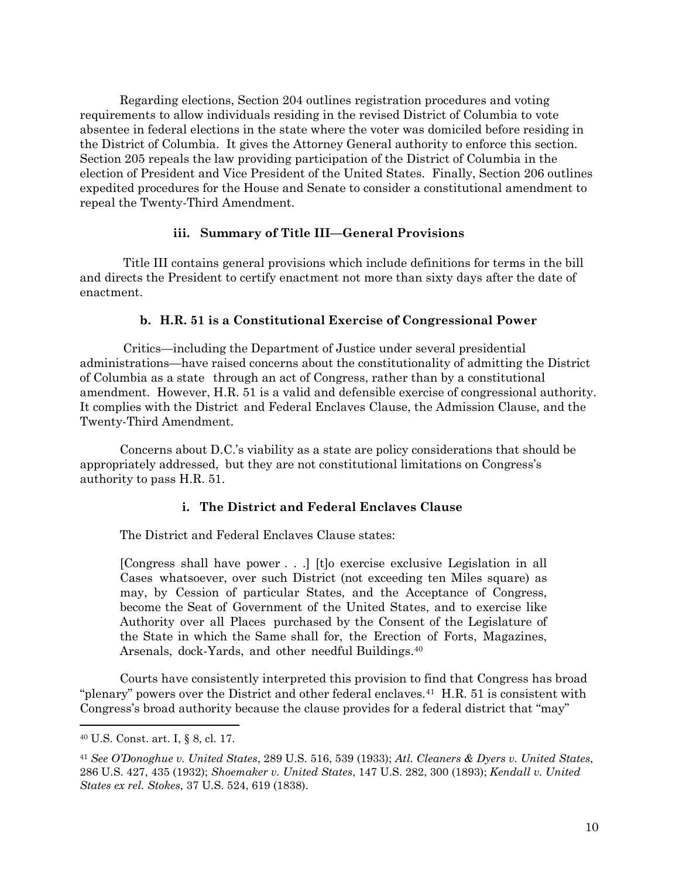Regarding elections, Section 204 outlines registration procedures and voting requirements to allow individuals residing in the revised District of Columbia to vote absentee in federal elections in the state where the voter was domiciled before residing in the District of Columbia. It gives the Attorney General authority to enforce this section. Section 205 repeals the law providing participation of the District of Columbia in the election of President and Vice President of the United States. Finally, Section 206 outlines expedited procedures for the House and Senate to consider a constitutional amendment to repeal the Twenty-Third Amendment.

## **iii. Summary of Title III—General Provisions**

Title III contains general provisions which include definitions for terms in the bill and directs the President to certify enactment not more than sixty days after the date of enactment.

## **b. H.R. 51 is a Constitutional Exercise of Congressional Power**

Critics—including the Department of Justice under several presidential administrations—have raised concerns about the constitutionality of admitting the District of Columbia as a state through an act of Congress, rather than by a constitutional amendment. However, H.R. 51 is a valid and defensible exercise of congressional authority. It complies with the District and Federal Enclaves Clause, the Admission Clause, and the Twenty-Third Amendment.

Concerns about D.C.'s viability as a state are policy considerations that should be appropriately addressed, but they are not constitutional limitations on Congress's authority to pass H.R. 51.

# **i. The District and Federal Enclaves Clause**

The District and Federal Enclaves Clause states:

[Congress shall have power . . .] [t]o exercise exclusive Legislation in all Cases whatsoever, over such District (not exceeding ten Miles square) as may, by Cession of particular States, and the Acceptance of Congress, become the Seat of Government of the United States, and to exercise like Authority over all Places purchased by the Consent of the Legislature of the State in which the Same shall for, the Erection of Forts, Magazines, Arsenals, dock-Yards, and other needful Buildings.<sup>[40](#page-9-0)</sup>

Courts have consistently interpreted this provision to find that Congress has broad "plenary" powers over the District and other federal enclaves.<sup>41</sup> H.R. 51 is consistent with Congress's broad authority because the clause provides for a federal district that "may"

<span id="page-9-0"></span><sup>40</sup> U.S. Const. art. I, § 8, cl. 17.

<span id="page-9-1"></span><sup>41</sup> *See O'Donoghue v. United States*, 289 U.S. 516, 539 (1933); *Atl. Cleaners & Dyers v. United States*, 286 U.S. 427, 435 (1932); *Shoemaker v. United States*, 147 U.S. 282, 300 (1893); *Kendall v. United States ex rel. Stokes*, 37 U.S. 524, 619 (1838).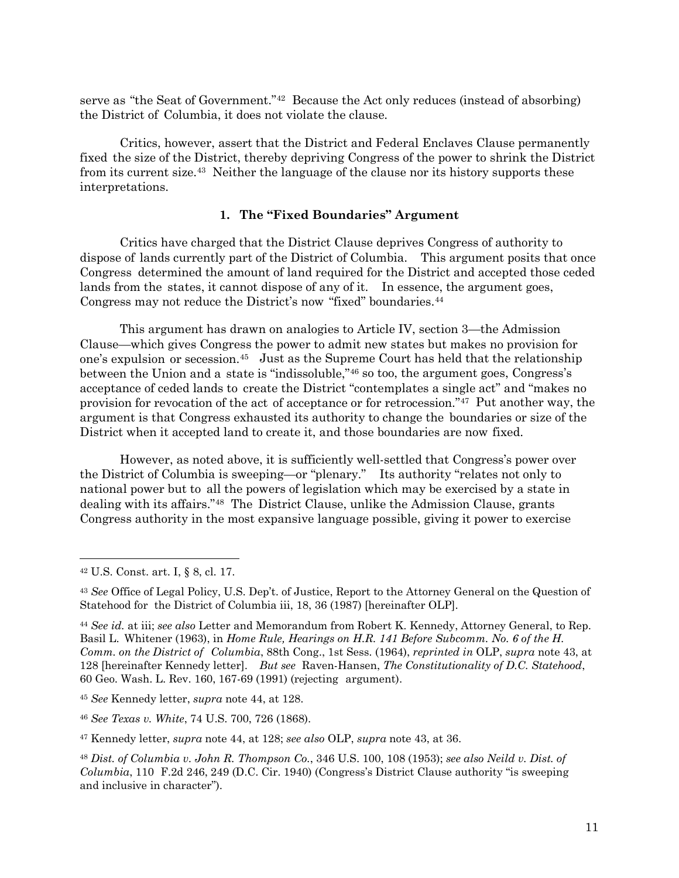serve as "the Seat of Government."[42](#page-10-0) Because the Act only reduces (instead of absorbing) the District of Columbia, it does not violate the clause.

Critics, however, assert that the District and Federal Enclaves Clause permanently fixed the size of the District, thereby depriving Congress of the power to shrink the District from its current size.[43](#page-10-1) Neither the language of the clause nor its history supports these interpretations.

### **1. The "Fixed Boundaries" Argument**

Critics have charged that the District Clause deprives Congress of authority to dispose of lands currently part of the District of Columbia. This argument posits that once Congress determined the amount of land required for the District and accepted those ceded lands from the states, it cannot dispose of any of it. In essence, the argument goes, Congress may not reduce the District's now "fixed" boundaries.<sup>[44](#page-10-2)</sup>

This argument has drawn on analogies to Article IV, section 3—the Admission Clause—which gives Congress the power to admit new states but makes no provision for one's expulsion or secession[.45](#page-10-3) Just as the Supreme Court has held that the relationship between the Union and a state is "indissoluble,"[46](#page-10-4) so too, the argument goes, Congress's acceptance of ceded lands to create the District "contemplates a single act" and "makes no provision for revocation of the act of acceptance or for retrocession.["47](#page-10-5) Put another way, the argument is that Congress exhausted its authority to change the boundaries or size of the District when it accepted land to create it, and those boundaries are now fixed.

However, as noted above, it is sufficiently well-settled that Congress's power over the District of Columbia is sweeping—or "plenary." Its authority "relates not only to national power but to all the powers of legislation which may be exercised by a state in dealing with its affairs.["48](#page-10-6) The District Clause, unlike the Admission Clause, grants Congress authority in the most expansive language possible, giving it power to exercise

<span id="page-10-0"></span><sup>42</sup> U.S. Const. art. I, § 8, cl. 17.

<span id="page-10-1"></span><sup>43</sup> *See* Office of Legal Policy, U.S. Dep't. of Justice, Report to the Attorney General on the Question of Statehood for the District of Columbia iii, 18, 36 (1987) [hereinafter OLP].

<span id="page-10-2"></span><sup>44</sup> *See id.* at iii; *see also* Letter and Memorandum from Robert K. Kennedy, Attorney General, to Rep. Basil L. Whitener (1963), in *Home Rule, Hearings on H.R. 141 Before Subcomm. No. 6 of the H. Comm. on the District of Columbia*, 88th Cong., 1st Sess. (1964), *reprinted in* OLP, *supra* note 43, at 128 [hereinafter Kennedy letter]. *But see* Raven-Hansen, *The Constitutionality of D.C. Statehood*, 60 Geo. Wash. L. Rev. 160, 167-69 (1991) (rejecting argument).

<span id="page-10-3"></span><sup>45</sup> *See* Kennedy letter, *supra* note 44, at 128.

<span id="page-10-4"></span><sup>46</sup> *See Texas v. White*, 74 U.S. 700, 726 (1868).

<span id="page-10-5"></span><sup>47</sup> Kennedy letter, *supra* note 44, at 128; *see also* OLP, *supra* note 43, at 36.

<span id="page-10-6"></span><sup>48</sup> *Dist. of Columbia v. John R. Thompson Co.*, 346 U.S. 100, 108 (1953); *see also Neild v. Dist. of Columbia*, 110 F.2d 246, 249 (D.C. Cir. 1940) (Congress's District Clause authority "is sweeping and inclusive in character").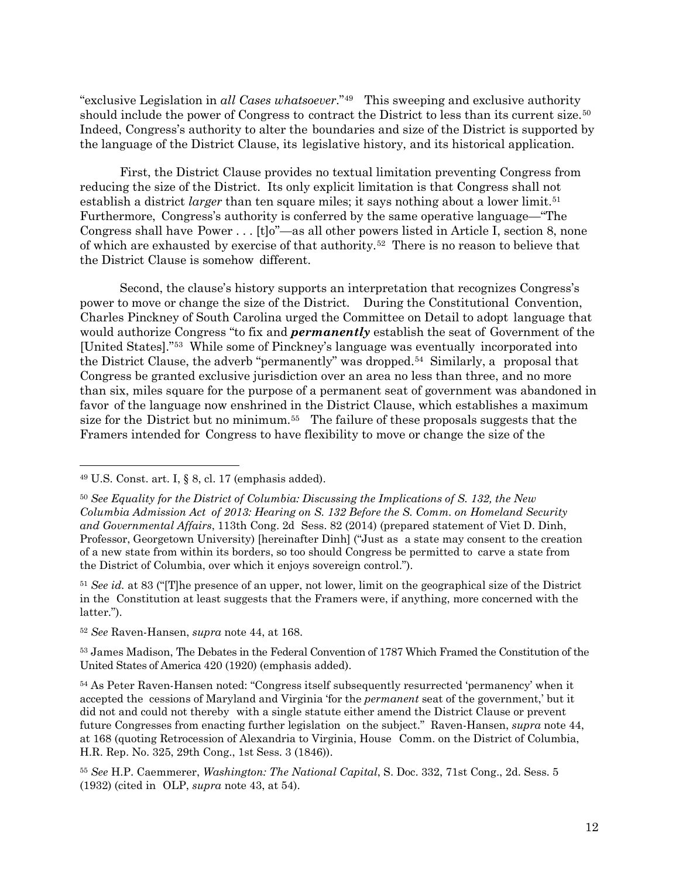"exclusive Legislation in *all Cases whatsoever*."[49](#page-11-0) This sweeping and exclusive authority should include the power of Congress to contract the District to less than its current size.<sup>[50](#page-11-1)</sup> Indeed, Congress's authority to alter the boundaries and size of the District is supported by the language of the District Clause, its legislative history, and its historical application.

First, the District Clause provides no textual limitation preventing Congress from reducing the size of the District. Its only explicit limitation is that Congress shall not establish a district *larger* than ten square miles; it says nothing about a lower limit.<sup>[51](#page-11-2)</sup> Furthermore, Congress's authority is conferred by the same operative language—"The Congress shall have Power . . . [t]o"—as all other powers listed in Article I, section 8, none of which are exhausted by exercise of that authority.[52](#page-11-3) There is no reason to believe that the District Clause is somehow different.

Second, the clause's history supports an interpretation that recognizes Congress's power to move or change the size of the District. During the Constitutional Convention, Charles Pinckney of South Carolina urged the Committee on Detail to adopt language that would authorize Congress "to fix and *permanently* establish the seat of Government of the [United States]."[53](#page-11-4) While some of Pinckney's language was eventually incorporated into the District Clause, the adverb "permanently" was dropped.[54](#page-11-5) Similarly, <sup>a</sup> proposal that Congress be granted exclusive jurisdiction over an area no less than three, and no more than six, miles square for the purpose of a permanent seat of government was abandoned in favor of the language now enshrined in the District Clause, which establishes a maximum size for the District but no minimum.<sup>55</sup> The failure of these proposals suggests that the Framers intended for Congress to have flexibility to move or change the size of the

<span id="page-11-0"></span> $49$  U.S. Const. art. I,  $\S$  8, cl. 17 (emphasis added).

<span id="page-11-1"></span><sup>50</sup> *See Equality for the District of Columbia: Discussing the Implications of S. 132, the New Columbia Admission Act of 2013: Hearing on S. 132 Before the S. Comm. on Homeland Security and Governmental Affairs*, 113th Cong. 2d Sess. 82 (2014) (prepared statement of Viet D. Dinh, Professor, Georgetown University) [hereinafter Dinh] ("Just as a state may consent to the creation of a new state from within its borders, so too should Congress be permitted to carve a state from the District of Columbia, over which it enjoys sovereign control.").

<span id="page-11-2"></span><sup>51</sup> *See id.* at 83 ("[T]he presence of an upper, not lower, limit on the geographical size of the District in the Constitution at least suggests that the Framers were, if anything, more concerned with the latter.").

<span id="page-11-3"></span><sup>52</sup> *See* Raven-Hansen, *supra* note 44, at 168.

<span id="page-11-4"></span><sup>53</sup> James Madison, The Debates in the Federal Convention of 1787 Which Framed the Constitution of the United States of America 420 (1920) (emphasis added).

<span id="page-11-5"></span><sup>54</sup> As Peter Raven-Hansen noted: "Congress itself subsequently resurrected 'permanency' when it accepted the cessions of Maryland and Virginia 'for the *permanent* seat of the government,' but it did not and could not thereby with a single statute either amend the District Clause or prevent future Congresses from enacting further legislation on the subject." Raven-Hansen, *supra* note 44, at 168 (quoting Retrocession of Alexandria to Virginia, House Comm. on the District of Columbia, H.R. Rep. No. 325, 29th Cong., 1st Sess. 3 (1846)).

<span id="page-11-6"></span><sup>55</sup> *See* H.P. Caemmerer, *Washington: The National Capital*, S. Doc. 332, 71st Cong., 2d. Sess. 5 (1932) (cited in OLP, *supra* note 43, at 54).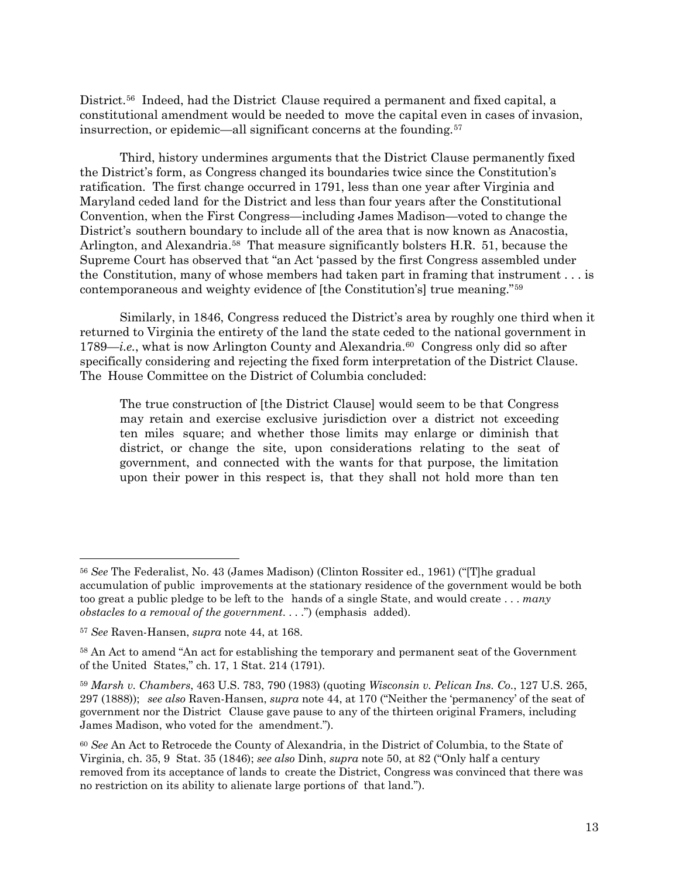District.<sup>[56](#page-12-0)</sup> Indeed, had the District Clause required a permanent and fixed capital, a constitutional amendment would be needed to move the capital even in cases of invasion, insurrection, or epidemic—all significant concerns at the founding.[57](#page-12-1)

Third, history undermines arguments that the District Clause permanently fixed the District's form, as Congress changed its boundaries twice since the Constitution's ratification. The first change occurred in 1791, less than one year after Virginia and Maryland ceded land for the District and less than four years after the Constitutional Convention, when the First Congress—including James Madison—voted to change the District's southern boundary to include all of the area that is now known as Anacostia, Arlington, and Alexandria.<sup>[58](#page-12-2)</sup> That measure significantly bolsters H.R. 51, because the Supreme Court has observed that "an Act 'passed by the first Congress assembled under the Constitution, many of whose members had taken part in framing that instrument . . . is contemporaneous and weighty evidence of [the Constitution's] true meaning."[59](#page-12-3)

Similarly, in 1846, Congress reduced the District's area by roughly one third when it returned to Virginia the entirety of the land the state ceded to the national government in 1789—*i.e.*, what is now Arlington County and Alexandria.<sup>[60](#page-12-4)</sup> Congress only did so after specifically considering and rejecting the fixed form interpretation of the District Clause. The House Committee on the District of Columbia concluded:

The true construction of [the District Clause] would seem to be that Congress may retain and exercise exclusive jurisdiction over a district not exceeding ten miles square; and whether those limits may enlarge or diminish that district, or change the site, upon considerations relating to the seat of government, and connected with the wants for that purpose, the limitation upon their power in this respect is, that they shall not hold more than ten

<span id="page-12-0"></span><sup>56</sup> *See* The Federalist, No. 43 (James Madison) (Clinton Rossiter ed., 1961) ("[T]he gradual accumulation of public improvements at the stationary residence of the government would be both too great a public pledge to be left to the hands of a single State, and would create . . . *many obstacles to a removal of the government*. . . .") (emphasis added).

<span id="page-12-1"></span><sup>57</sup> *See* Raven-Hansen, *supra* note 44, at 168.

<span id="page-12-2"></span><sup>58</sup> An Act to amend "An act for establishing the temporary and permanent seat of the Government of the United States," ch. 17, 1 Stat. 214 (1791).

<span id="page-12-3"></span><sup>59</sup> *Marsh v. Chambers*, 463 U.S. 783, 790 (1983) (quoting *Wisconsin v. Pelican Ins. Co.*, 127 U.S. 265, 297 (1888)); *see also* Raven-Hansen, *supra* note 44, at 170 ("Neither the 'permanency' of the seat of government nor the District Clause gave pause to any of the thirteen original Framers, including James Madison, who voted for the amendment.").

<span id="page-12-4"></span><sup>60</sup> *See* An Act to Retrocede the County of Alexandria, in the District of Columbia, to the State of Virginia, ch. 35, 9 Stat. 35 (1846); *see also* Dinh, *supra* note 50, at 82 ("Only half a century removed from its acceptance of lands to create the District, Congress was convinced that there was no restriction on its ability to alienate large portions of that land.").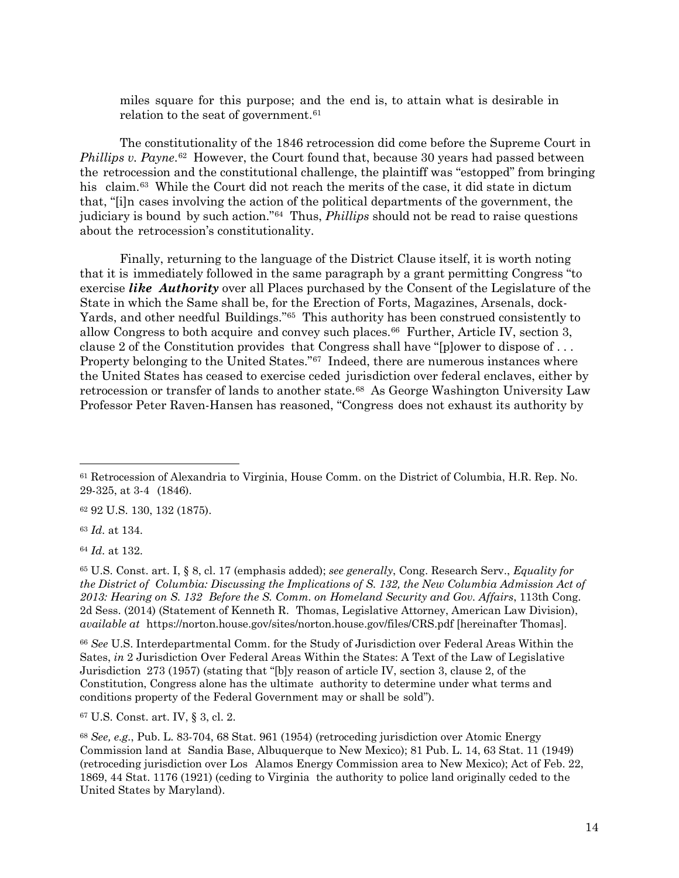miles square for this purpose; and the end is, to attain what is desirable in relation to the seat of government.<sup>[61](#page-13-0)</sup>

The constitutionality of the 1846 retrocession did come before the Supreme Court in *Phillips v. Payne*.[62](#page-13-1) However, the Court found that, because 30 years had passed between the retrocession and the constitutional challenge, the plaintiff was "estopped" from bringing his claim.<sup>[63](#page-13-2)</sup> While the Court did not reach the merits of the case, it did state in dictum that, "[i]n cases involving the action of the political departments of the government, the judiciary is bound by such action."[64](#page-13-3) Thus, *Phillips* should not be read to raise questions about the retrocession's constitutionality.

Finally, returning to the language of the District Clause itself, it is worth noting that it is immediately followed in the same paragraph by a grant permitting Congress "to exercise *like Authority* over all Places purchased by the Consent of the Legislature of the State in which the Same shall be, for the Erection of Forts, Magazines, Arsenals, dock-Yards, and other needful Buildings."[65](#page-13-4) This authority has been construed consistently to allow Congress to both acquire and convey such places.<sup>[66](#page-13-5)</sup> Further, Article IV, section 3, clause 2 of the Constitution provides that Congress shall have "[p]ower to dispose of . . . Property belonging to the United States."<sup>[67](#page-13-6)</sup> Indeed, there are numerous instances where the United States has ceased to exercise ceded jurisdiction over federal enclaves, either by retrocession or transfer of lands to another state.[68](#page-13-7) As George Washington University Law Professor Peter Raven-Hansen has reasoned, "Congress does not exhaust its authority by

<span id="page-13-1"></span><sup>62</sup> 92 U.S. 130, 132 (1875).

<span id="page-13-2"></span><sup>63</sup> *Id.* at 134.

 $\overline{a}$ 

<span id="page-13-3"></span><sup>64</sup> *Id.* at 132.

<span id="page-13-4"></span><sup>65</sup> U.S. Const. art. I, § 8, cl. 17 (emphasis added); *see generally*, Cong. Research Serv., *Equality for the District of Columbia: Discussing the Implications of S. 132, the New Columbia Admission Act of 2013: Hearing on S. 132 Before the S. Comm. on Homeland Security and Gov. Affairs*, 113th Cong. 2d Sess. (2014) (Statement of Kenneth R. Thomas, Legislative Attorney, American Law Division), *available at* https://norton.house.gov/sites/norton.house.gov/files/CRS.pdf [hereinafter Thomas].

<span id="page-13-5"></span><sup>66</sup> *See* U.S. Interdepartmental Comm. for the Study of Jurisdiction over Federal Areas Within the Sates, *in* 2 Jurisdiction Over Federal Areas Within the States: A Text of the Law of Legislative Jurisdiction 273 (1957) (stating that "[b]y reason of article IV, section 3, clause 2, of the Constitution, Congress alone has the ultimate authority to determine under what terms and conditions property of the Federal Government may or shall be sold").

<span id="page-13-6"></span><sup>67</sup> U.S. Const. art. IV, § 3, cl. 2.

<span id="page-13-7"></span><sup>68</sup> *See, e.g.*, Pub. L. 83-704, 68 Stat. 961 (1954) (retroceding jurisdiction over Atomic Energy Commission land at Sandia Base, Albuquerque to New Mexico); 81 Pub. L. 14, 63 Stat. 11 (1949) (retroceding jurisdiction over Los Alamos Energy Commission area to New Mexico); Act of Feb. 22, 1869, 44 Stat. 1176 (1921) (ceding to Virginia the authority to police land originally ceded to the United States by Maryland).

<span id="page-13-0"></span><sup>61</sup> Retrocession of Alexandria to Virginia, House Comm. on the District of Columbia, H.R. Rep. No. 29-325, at 3-4 (1846).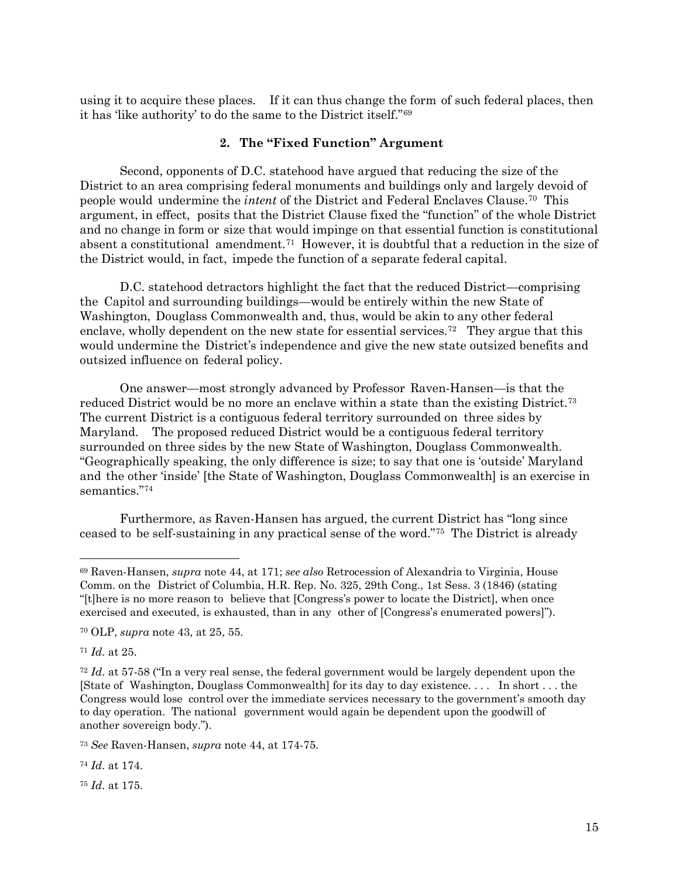using it to acquire these places. If it can thus change the form of such federal places, then it has 'like authority' to do the same to the District itself."[69](#page-14-0)

### **2. The "Fixed Function" Argument**

Second, opponents of D.C. statehood have argued that reducing the size of the District to an area comprising federal monuments and buildings only and largely devoid of people would undermine the *intent* of the District and Federal Enclaves Clause.[70](#page-14-1) This argument, in effect, posits that the District Clause fixed the "function" of the whole District and no change in form or size that would impinge on that essential function is constitutional absent a constitutional amendment.[71](#page-14-2) However, it is doubtful that a reduction in the size of the District would, in fact, impede the function of a separate federal capital.

D.C. statehood detractors highlight the fact that the reduced District—comprising the Capitol and surrounding buildings—would be entirely within the new State of Washington, Douglass Commonwealth and, thus, would be akin to any other federal enclave, wholly dependent on the new state for essential services.<sup>72</sup> They argue that this would undermine the District's independence and give the new state outsized benefits and outsized influence on federal policy.

One answer—most strongly advanced by Professor Raven-Hansen—is that the reduced District would be no more an enclave within a state than the existing District[.73](#page-14-4) The current District is a contiguous federal territory surrounded on three sides by Maryland. The proposed reduced District would be a contiguous federal territory surrounded on three sides by the new State of Washington, Douglass Commonwealth. "Geographically speaking, the only difference is size; to say that one is 'outside' Maryland and the other 'inside' [the State of Washington, Douglass Commonwealth] is an exercise in semantics."[74](#page-14-5)

Furthermore, as Raven-Hansen has argued, the current District has "long since ceased to be self-sustaining in any practical sense of the word."[75](#page-14-6) The District is already

<span id="page-14-2"></span><sup>71</sup> *Id.* at 25.

 $\overline{a}$ 

<span id="page-14-5"></span><sup>74</sup> *Id.* at 174.

<span id="page-14-6"></span><sup>75</sup> *Id.* at 175.

<span id="page-14-0"></span><sup>69</sup> Raven-Hansen, *supra* note 44, at 171; *see also* Retrocession of Alexandria to Virginia, House Comm. on the District of Columbia, H.R. Rep. No. 325, 29th Cong., 1st Sess. 3 (1846) (stating "[t]here is no more reason to believe that [Congress's power to locate the District], when once exercised and executed, is exhausted, than in any other of [Congress's enumerated powers]").

<span id="page-14-1"></span><sup>70</sup> OLP, *supra* note 43, at 25, 55.

<span id="page-14-3"></span><sup>72</sup> *Id.* at 57-58 ("In a very real sense, the federal government would be largely dependent upon the [State of Washington, Douglass Commonwealth] for its day to day existence. . . . In short . . . the Congress would lose control over the immediate services necessary to the government's smooth day to day operation. The national government would again be dependent upon the goodwill of another sovereign body.").

<span id="page-14-4"></span><sup>73</sup> *See* Raven-Hansen, *supra* note 44, at 174-75.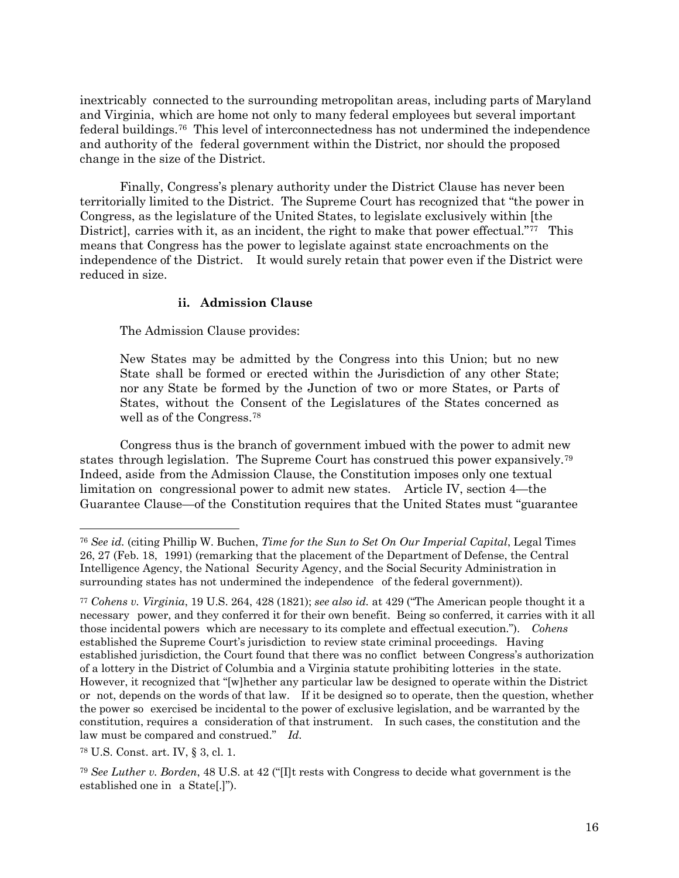inextricably connected to the surrounding metropolitan areas, including parts of Maryland and Virginia, which are home not only to many federal employees but several important federal buildings.[76](#page-15-0) This level of interconnectedness has not undermined the independence and authority of the federal government within the District, nor should the proposed change in the size of the District.

Finally, Congress's plenary authority under the District Clause has never been territorially limited to the District. The Supreme Court has recognized that "the power in Congress, as the legislature of the United States, to legislate exclusively within [the District, carries with it, as an incident, the right to make that power effectual."<sup>[77](#page-15-1)</sup> This means that Congress has the power to legislate against state encroachments on the independence of the District. It would surely retain that power even if the District were reduced in size.

### **ii. Admission Clause**

The Admission Clause provides:

New States may be admitted by the Congress into this Union; but no new State shall be formed or erected within the Jurisdiction of any other State; nor any State be formed by the Junction of two or more States, or Parts of States, without the Consent of the Legislatures of the States concerned as well as of the Congress.[78](#page-15-2)

Congress thus is the branch of government imbued with the power to admit new states through legislation. The Supreme Court has construed this power expansively.[79](#page-15-3) Indeed, aside from the Admission Clause, the Constitution imposes only one textual limitation on congressional power to admit new states. Article IV, section 4—the Guarantee Clause—of the Constitution requires that the United States must "guarantee

<span id="page-15-0"></span><sup>76</sup> *See id.* (citing Phillip W. Buchen, *Time for the Sun to Set On Our Imperial Capital*, Legal Times 26, 27 (Feb. 18, 1991) (remarking that the placement of the Department of Defense, the Central Intelligence Agency, the National Security Agency, and the Social Security Administration in surrounding states has not undermined the independence of the federal government)).

<span id="page-15-1"></span><sup>77</sup> *Cohens v. Virginia*, 19 U.S. 264, 428 (1821); *see also id.* at 429 ("The American people thought it a necessary power, and they conferred it for their own benefit. Being so conferred, it carries with it all those incidental powers which are necessary to its complete and effectual execution."). *Cohens* established the Supreme Court's jurisdiction to review state criminal proceedings. Having established jurisdiction, the Court found that there was no conflict between Congress's authorization of a lottery in the District of Columbia and a Virginia statute prohibiting lotteries in the state. However, it recognized that "[w]hether any particular law be designed to operate within the District or not, depends on the words of that law. If it be designed so to operate, then the question, whether the power so exercised be incidental to the power of exclusive legislation, and be warranted by the constitution, requires a consideration of that instrument. In such cases, the constitution and the law must be compared and construed." *Id.*

<span id="page-15-2"></span><sup>78</sup> U.S. Const. art. IV, § 3, cl. 1.

<span id="page-15-3"></span><sup>79</sup> *See Luther v. Borden*, 48 U.S. at 42 ("[I]t rests with Congress to decide what government is the established one in a State[.]").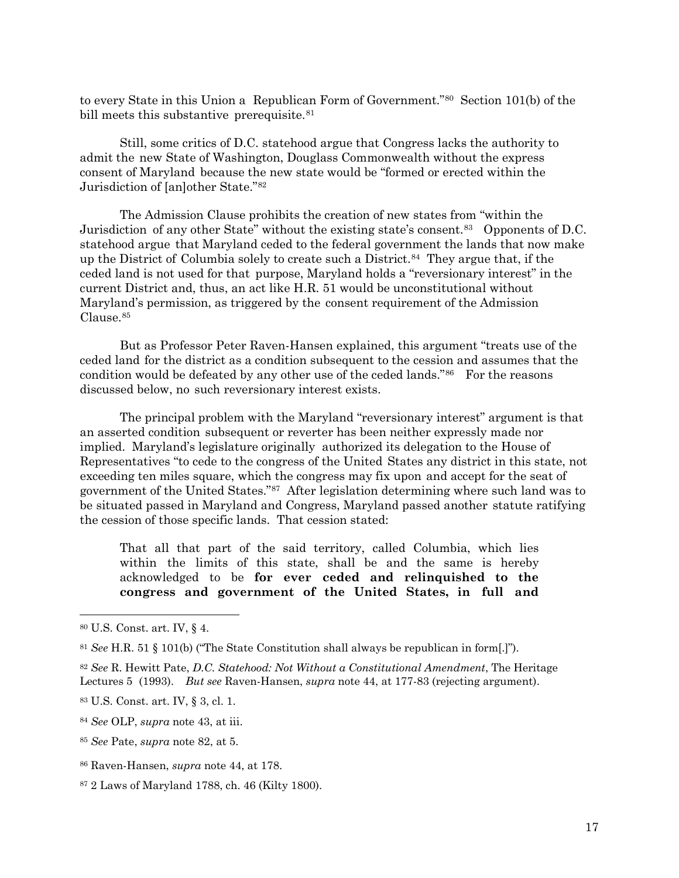to every State in this Union a Republican Form of Government.["80](#page-16-0) Section 101(b) of the bill meets this substantive prerequisite.<sup>[81](#page-16-1)</sup>

Still, some critics of D.C. statehood argue that Congress lacks the authority to admit the new State of Washington, Douglass Commonwealth without the express consent of Maryland because the new state would be "formed or erected within the Jurisdiction of [an]other State."[82](#page-16-2)

The Admission Clause prohibits the creation of new states from "within the Jurisdiction of any other State" without the existing state's consent.[83](#page-16-3) Opponents of D.C. statehood argue that Maryland ceded to the federal government the lands that now make up the District of Columbia solely to create such a District.[84](#page-16-4) They argue that, if the ceded land is not used for that purpose, Maryland holds a "reversionary interest" in the current District and, thus, an act like H.R. 51 would be unconstitutional without Maryland's permission, as triggered by the consent requirement of the Admission Clause.[85](#page-16-5)

But as Professor Peter Raven-Hansen explained, this argument "treats use of the ceded land for the district as a condition subsequent to the cession and assumes that the condition would be defeated by any other use of the ceded lands."<sup>[86](#page-16-6)</sup> For the reasons discussed below, no such reversionary interest exists.

The principal problem with the Maryland "reversionary interest" argument is that an asserted condition subsequent or reverter has been neither expressly made nor implied. Maryland's legislature originally authorized its delegation to the House of Representatives "to cede to the congress of the United States any district in this state, not exceeding ten miles square, which the congress may fix upon and accept for the seat of government of the United States."[87](#page-16-7) After legislation determining where such land was to be situated passed in Maryland and Congress, Maryland passed another statute ratifying the cession of those specific lands. That cession stated:

That all that part of the said territory, called Columbia, which lies within the limits of this state, shall be and the same is hereby acknowledged to be **for ever ceded and relinquished to the congress and government of the United States, in full and**

 $\overline{a}$ 

<span id="page-16-4"></span><sup>84</sup> *See* OLP, *supra* note 43, at iii.

<span id="page-16-0"></span><sup>80</sup> U.S. Const. art. IV, § 4.

<span id="page-16-1"></span><sup>81</sup> *See* H.R. 51 § 101(b) ("The State Constitution shall always be republican in form[.]").

<span id="page-16-2"></span><sup>82</sup> *See* R. Hewitt Pate, *D.C. Statehood: Not Without a Constitutional Amendment*, The Heritage Lectures 5 (1993). *But see* Raven-Hansen, *supra* note 44, at 177-83 (rejecting argument).

<span id="page-16-3"></span><sup>83</sup> U.S. Const. art. IV, § 3, cl. 1.

<span id="page-16-5"></span><sup>85</sup> *See* Pate, *supra* note 82, at 5.

<span id="page-16-6"></span><sup>86</sup> Raven-Hansen, *supra* note 44, at 178.

<span id="page-16-7"></span><sup>87</sup> 2 Laws of Maryland 1788, ch. 46 (Kilty 1800).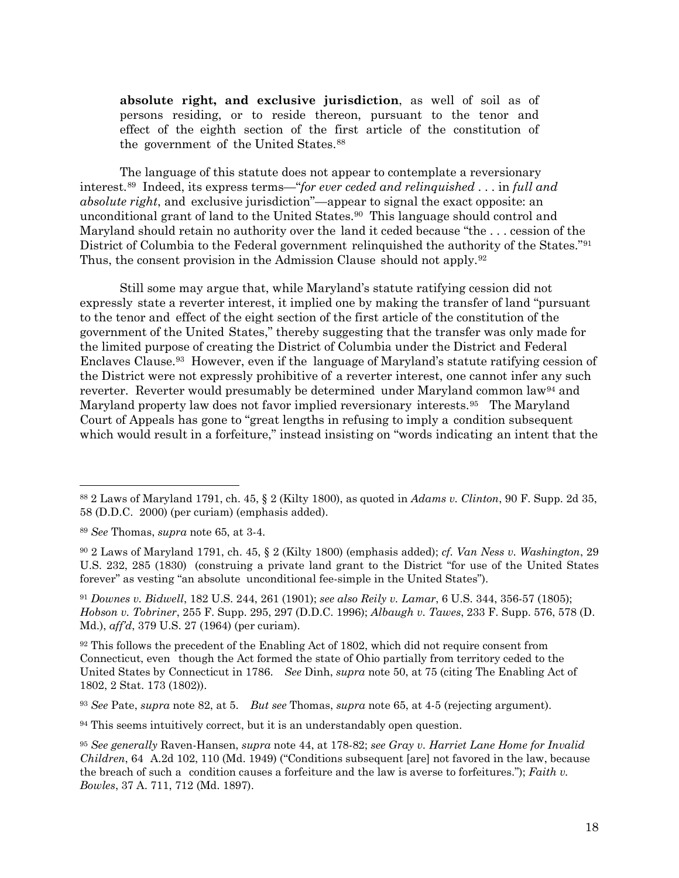**absolute right, and exclusive jurisdiction**, as well of soil as of persons residing, or to reside thereon, pursuant to the tenor and effect of the eighth section of the first article of the constitution of the government of the United States.[88](#page-17-0)

The language of this statute does not appear to contemplate a reversionary interest.[89](#page-17-1) Indeed, its express terms—"*for ever ceded and relinquished* . . . in *full and absolute right*, and exclusive jurisdiction"—appear to signal the exact opposite: an unconditional grant of land to the United States.[90](#page-17-2) This language should control and Maryland should retain no authority over the land it ceded because "the . . . cession of the District of Columbia to the Federal government relinquished the authority of the States."[91](#page-17-3)  Thus, the consent provision in the Admission Clause should not apply.[92](#page-17-4)

Still some may argue that, while Maryland's statute ratifying cession did not expressly state a reverter interest, it implied one by making the transfer of land "pursuant to the tenor and effect of the eight section of the first article of the constitution of the government of the United States," thereby suggesting that the transfer was only made for the limited purpose of creating the District of Columbia under the District and Federal Enclaves Clause.[93](#page-17-5) However, even if the language of Maryland's statute ratifying cession of the District were not expressly prohibitive of a reverter interest, one cannot infer any such reverter. Reverter would presumably be determined under Maryland common law[94](#page-17-6) and Maryland property law does not favor implied reversionary interests.[95](#page-17-7) The Maryland Court of Appeals has gone to "great lengths in refusing to imply a condition subsequent which would result in a forfeiture," instead insisting on "words indicating an intent that the

 $\overline{a}$ 

<span id="page-17-5"></span><sup>93</sup> *See* Pate, *supra* note 82, at 5. *But see* Thomas, *supra* note 65, at 4-5 (rejecting argument).

<span id="page-17-0"></span><sup>88</sup> 2 Laws of Maryland 1791, ch. 45, § 2 (Kilty 1800), as quoted in *Adams v. Clinton*, 90 F. Supp. 2d 35, 58 (D.D.C. 2000) (per curiam) (emphasis added).

<span id="page-17-1"></span><sup>89</sup> *See* Thomas, *supra* note 65, at 3-4.

<span id="page-17-2"></span><sup>90</sup> 2 Laws of Maryland 1791, ch. 45, § 2 (Kilty 1800) (emphasis added); *cf. Van Ness v. Washington*, 29 U.S. 232, 285 (1830) (construing a private land grant to the District "for use of the United States forever" as vesting "an absolute unconditional fee-simple in the United States").

<span id="page-17-3"></span><sup>91</sup> *Downes v. Bidwell*, 182 U.S. 244, 261 (1901); *see also Reily v. Lamar*, 6 U.S. 344, 356-57 (1805); *Hobson v. Tobriner*, 255 F. Supp. 295, 297 (D.D.C. 1996); *Albaugh v. Tawes*, 233 F. Supp. 576, 578 (D. Md.), *aff'd*, 379 U.S. 27 (1964) (per curiam).

<span id="page-17-4"></span><sup>&</sup>lt;sup>92</sup> This follows the precedent of the Enabling Act of 1802, which did not require consent from Connecticut, even though the Act formed the state of Ohio partially from territory ceded to the United States by Connecticut in 1786. *See* Dinh, *supra* note 50, at 75 (citing The Enabling Act of 1802, 2 Stat. 173 (1802)).

<span id="page-17-6"></span><sup>&</sup>lt;sup>94</sup> This seems intuitively correct, but it is an understandably open question.

<span id="page-17-7"></span><sup>95</sup> *See generally* Raven-Hansen, *supra* note 44, at 178-82; *see Gray v. Harriet Lane Home for Invalid Children*, 64 A.2d 102, 110 (Md. 1949) ("Conditions subsequent [are] not favored in the law, because the breach of such a condition causes a forfeiture and the law is averse to forfeitures."); *Faith v. Bowles*, 37 A. 711, 712 (Md. 1897).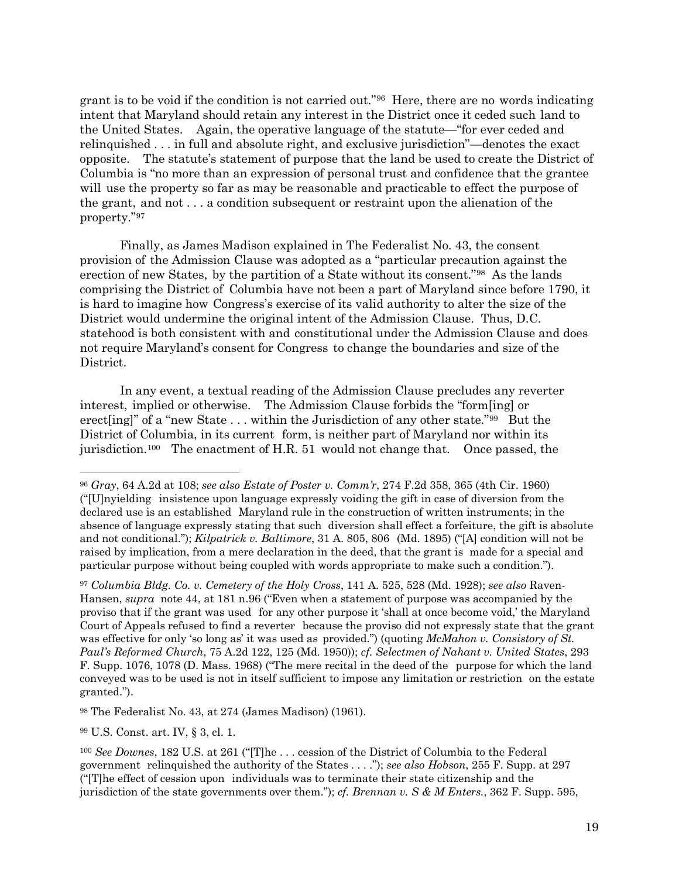grant is to be void if the condition is not carried out."[96](#page-18-0) Here, there are no words indicating intent that Maryland should retain any interest in the District once it ceded such land to the United States. Again, the operative language of the statute—"for ever ceded and relinquished . . . in full and absolute right, and exclusive jurisdiction"—denotes the exact opposite. The statute's statement of purpose that the land be used to create the District of Columbia is "no more than an expression of personal trust and confidence that the grantee will use the property so far as may be reasonable and practicable to effect the purpose of the grant, and not . . . a condition subsequent or restraint upon the alienation of the property."[97](#page-18-1)

Finally, as James Madison explained in The Federalist No. 43, the consent provision of the Admission Clause was adopted as a "particular precaution against the erection of new States, by the partition of a State without its consent."[98](#page-18-2) As the lands comprising the District of Columbia have not been a part of Maryland since before 1790, it is hard to imagine how Congress's exercise of its valid authority to alter the size of the District would undermine the original intent of the Admission Clause. Thus, D.C. statehood is both consistent with and constitutional under the Admission Clause and does not require Maryland's consent for Congress to change the boundaries and size of the District.

In any event, a textual reading of the Admission Clause precludes any reverter interest, implied or otherwise. The Admission Clause forbids the "form[ing] or erect [ing]" of a "new State  $\ldots$  within the Jurisdiction of any other state." $99$  But the District of Columbia, in its current form, is neither part of Maryland nor within its jurisdiction.<sup>[100](#page-18-4)</sup> The enactment of H.R. 51 would not change that. Once passed, the

<span id="page-18-1"></span><sup>97</sup> *Columbia Bldg. Co. v. Cemetery of the Holy Cross*, 141 A. 525, 528 (Md. 1928); *see also* Raven-Hansen, *supra* note 44, at 181 n.96 ("Even when a statement of purpose was accompanied by the proviso that if the grant was used for any other purpose it 'shall at once become void,' the Maryland Court of Appeals refused to find a reverter because the proviso did not expressly state that the grant was effective for only 'so long as' it was used as provided.") (quoting *McMahon v. Consistory of St. Paul's Reformed Church*, 75 A.2d 122, 125 (Md. 1950)); *cf. Selectmen of Nahant v. United States*, 293 F. Supp. 1076, 1078 (D. Mass. 1968) ("The mere recital in the deed of the purpose for which the land conveyed was to be used is not in itself sufficient to impose any limitation or restriction on the estate granted.").

<span id="page-18-2"></span><sup>98</sup> The Federalist No. 43, at 274 (James Madison) (1961).

<span id="page-18-3"></span><sup>99</sup> U.S. Const. art. IV, § 3, cl. 1.

<span id="page-18-0"></span><sup>96</sup> *Gray*, 64 A.2d at 108; *see also Estate of Poster v. Comm'r*, 274 F.2d 358, 365 (4th Cir. 1960) ("[U]nyielding insistence upon language expressly voiding the gift in case of diversion from the declared use is an established Maryland rule in the construction of written instruments; in the absence of language expressly stating that such diversion shall effect a forfeiture, the gift is absolute and not conditional."); *Kilpatrick v. Baltimore*, 31 A. 805, 806 (Md. 1895) ("[A] condition will not be raised by implication, from a mere declaration in the deed, that the grant is made for a special and particular purpose without being coupled with words appropriate to make such a condition.").

<span id="page-18-4"></span><sup>100</sup> *See Downes*, 182 U.S. at 261 ("[T]he . . . cession of the District of Columbia to the Federal government relinquished the authority of the States . . . ."); *see also Hobson*, 255 F. Supp. at 297 ("[T]he effect of cession upon individuals was to terminate their state citizenship and the jurisdiction of the state governments over them."); *cf. Brennan v. S & M Enters.*, 362 F. Supp. 595,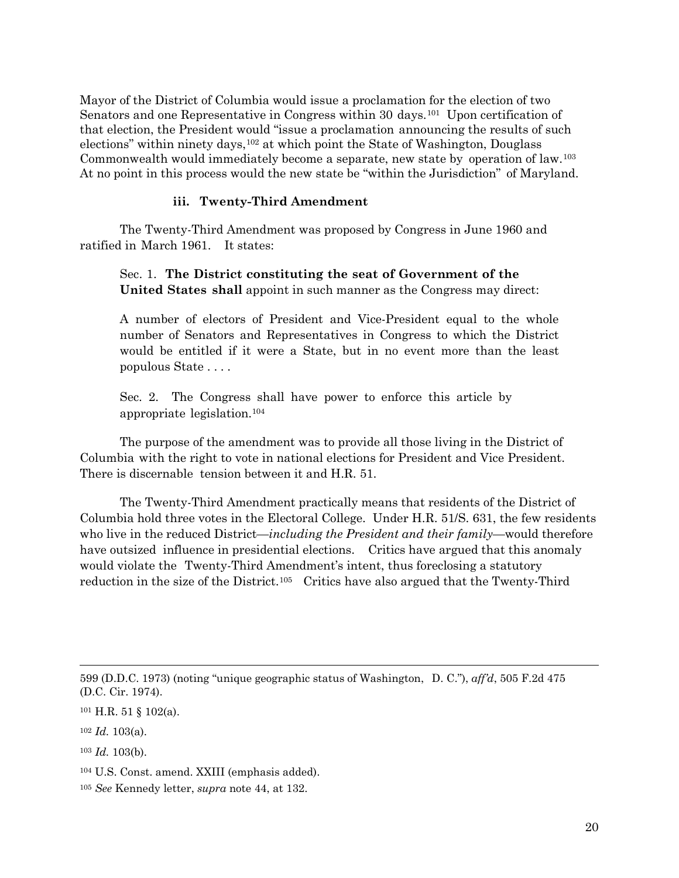Mayor of the District of Columbia would issue a proclamation for the election of two Senators and one Representative in Congress within 30 days.[101](#page-19-0) Upon certification of that election, the President would "issue a proclamation announcing the results of such elections" within ninety days,  $102$  at which point the State of Washington, Douglass Commonwealth would immediately become a separate, new state by operation of law.[103](#page-19-2) At no point in this process would the new state be "within the Jurisdiction" of Maryland.

## **iii. Twenty-Third Amendment**

The Twenty-Third Amendment was proposed by Congress in June 1960 and ratified in March 1961. It states:

Sec. 1. **The District constituting the seat of Government of the United States shall** appoint in such manner as the Congress may direct:

A number of electors of President and Vice-President equal to the whole number of Senators and Representatives in Congress to which the District would be entitled if it were a State, but in no event more than the least populous State . . . .

Sec. 2. The Congress shall have power to enforce this article by appropriate legislation[.104](#page-19-3)

The purpose of the amendment was to provide all those living in the District of Columbia with the right to vote in national elections for President and Vice President. There is discernable tension between it and H.R. 51.

The Twenty-Third Amendment practically means that residents of the District of Columbia hold three votes in the Electoral College. Under H.R. 51/S. 631, the few residents who live in the reduced District—*including the President and their family*—would therefore have outsized influence in presidential elections. Critics have argued that this anomaly would violate the Twenty-Third Amendment's intent, thus foreclosing a statutory reduction in the size of the District.<sup>[105](#page-19-4)</sup> Critics have also argued that the Twenty-Third

<sup>599 (</sup>D.D.C. 1973) (noting "unique geographic status of Washington, D. C."), *aff'd*, 505 F.2d 475 (D.C. Cir. 1974).

<span id="page-19-0"></span> $101$  H.R. 51 § 102(a).

<span id="page-19-1"></span><sup>102</sup> *Id.* 103(a).

<span id="page-19-2"></span><sup>103</sup> *Id.* 103(b).

<span id="page-19-3"></span><sup>104</sup> U.S. Const. amend. XXIII (emphasis added).

<span id="page-19-4"></span><sup>105</sup> *See* Kennedy letter, *supra* note 44, at 132.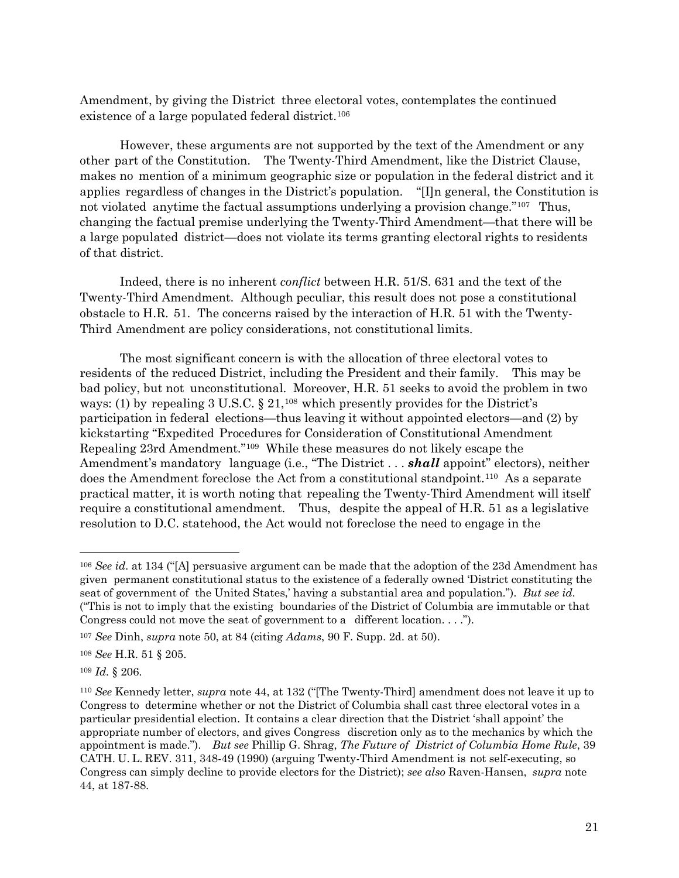Amendment, by giving the District three electoral votes, contemplates the continued existence of a large populated federal district.<sup>[106](#page-20-0)</sup>

However, these arguments are not supported by the text of the Amendment or any other part of the Constitution. The Twenty-Third Amendment, like the District Clause, makes no mention of a minimum geographic size or population in the federal district and it applies regardless of changes in the District's population. "[I]n general, the Constitution is not violated anytime the factual assumptions underlying a provision change.["107](#page-20-1) Thus, changing the factual premise underlying the Twenty-Third Amendment—that there will be a large populated district—does not violate its terms granting electoral rights to residents of that district.

Indeed, there is no inherent *conflict* between H.R. 51/S. 631 and the text of the Twenty-Third Amendment. Although peculiar, this result does not pose a constitutional obstacle to H.R. 51. The concerns raised by the interaction of H.R. 51 with the Twenty-Third Amendment are policy considerations, not constitutional limits.

The most significant concern is with the allocation of three electoral votes to residents of the reduced District, including the President and their family. This may be bad policy, but not unconstitutional. Moreover, H.R. 51 seeks to avoid the problem in two ways: (1) by repealing  $3 \text{ U.S.C.} \$   $21,^{108}$  $21,^{108}$  $21,^{108}$  which presently provides for the District's participation in federal elections—thus leaving it without appointed electors—and (2) by kickstarting "Expedited Procedures for Consideration of Constitutional Amendment Repealing 23rd Amendment."[109](#page-20-3) While these measures do not likely escape the Amendment's mandatory language (i.e., "The District . . . *shall* appoint" electors), neither does the Amendment foreclose the Act from a constitutional standpoint.[110](#page-20-4) As <sup>a</sup> separate practical matter, it is worth noting that repealing the Twenty-Third Amendment will itself require a constitutional amendment. Thus, despite the appeal of H.R. 51 as a legislative resolution to D.C. statehood, the Act would not foreclose the need to engage in the

<span id="page-20-3"></span><sup>109</sup> *Id.* § 206.

<span id="page-20-0"></span><sup>106</sup> *See id.* at 134 ("[A] persuasive argument can be made that the adoption of the 23d Amendment has given permanent constitutional status to the existence of a federally owned 'District constituting the seat of government of the United States,' having a substantial area and population."). *But see id.*  ("This is not to imply that the existing boundaries of the District of Columbia are immutable or that Congress could not move the seat of government to a different location. . . .").

<span id="page-20-1"></span><sup>107</sup> *See* Dinh, *supra* note 50, at 84 (citing *Adams*, 90 F. Supp. 2d. at 50).

<span id="page-20-2"></span><sup>108</sup> *See* H.R. 51 § 205.

<span id="page-20-4"></span><sup>110</sup> *See* Kennedy letter, *supra* note 44, at 132 ("[The Twenty-Third] amendment does not leave it up to Congress to determine whether or not the District of Columbia shall cast three electoral votes in a particular presidential election. It contains a clear direction that the District 'shall appoint' the appropriate number of electors, and gives Congress discretion only as to the mechanics by which the appointment is made."). *But see* Phillip G. Shrag, *The Future of District of Columbia Home Rule*, 39 CATH. U. L. REV. 311, 348-49 (1990) (arguing Twenty-Third Amendment is not self-executing, so Congress can simply decline to provide electors for the District); *see also* Raven-Hansen, *supra* note 44, at 187-88.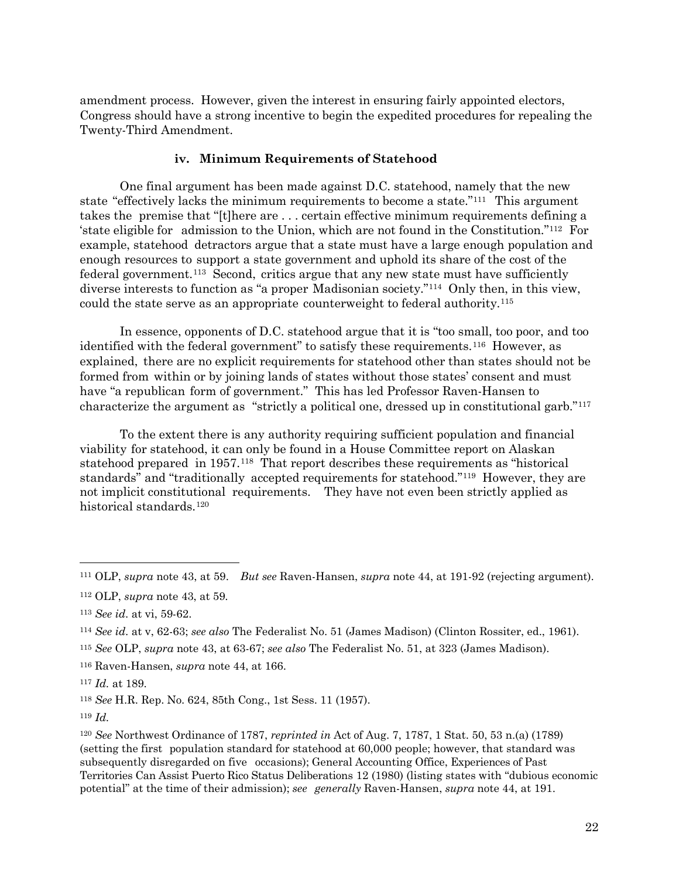amendment process. However, given the interest in ensuring fairly appointed electors, Congress should have a strong incentive to begin the expedited procedures for repealing the Twenty-Third Amendment.

#### **iv. Minimum Requirements of Statehood**

One final argument has been made against D.C. statehood, namely that the new state "effectively lacks the minimum requirements to become a state."[111](#page-21-0) This argument takes the premise that "[t]here are . . . certain effective minimum requirements defining a 'state eligible for admission to the Union, which are not found in the Constitution."<sup>[112](#page-21-1)</sup> For example, statehood detractors argue that a state must have a large enough population and enough resources to support a state government and uphold its share of the cost of the federal government.[113](#page-21-2) Second, critics argue that any new state must have sufficiently diverse interests to function as "a proper Madisonian society."[114](#page-21-3) Only then, in this view, could the state serve as an appropriate counterweight to federal authority.[115](#page-21-4)

In essence, opponents of D.C. statehood argue that it is "too small, too poor, and too identified with the federal government" to satisfy these requirements.[116](#page-21-5) However, as explained, there are no explicit requirements for statehood other than states should not be formed from within or by joining lands of states without those states' consent and must have "a republican form of government." This has led Professor Raven-Hansen to characterize the argument as "strictly a political one, dressed up in constitutional garb."[117](#page-21-6)

To the extent there is any authority requiring sufficient population and financial viability for statehood, it can only be found in a House Committee report on Alaskan statehood prepared in 1957.[118](#page-21-7) That report describes these requirements as "historical standards" and "traditionally accepted requirements for statehood."[119](#page-21-8) However, they are not implicit constitutional requirements. They have not even been strictly applied as historical standards.<sup>[120](#page-21-9)</sup>

<span id="page-21-0"></span><sup>111</sup> OLP, *supra* note 43, at 59. *But see* Raven-Hansen, *supra* note 44, at 191-92 (rejecting argument).

<span id="page-21-1"></span><sup>112</sup> OLP, *supra* note 43, at 59*.*

<span id="page-21-2"></span><sup>113</sup> *See id.* at vi, 59-62.

<span id="page-21-3"></span><sup>114</sup> *See id.* at v, 62-63; *see also* The Federalist No. 51 (James Madison) (Clinton Rossiter, ed., 1961).

<span id="page-21-4"></span><sup>115</sup> *See* OLP, *supra* note 43, at 63-67; *see also* The Federalist No. 51, at 323 (James Madison).

<span id="page-21-5"></span><sup>116</sup> Raven-Hansen, *supra* note 44, at 166.

<span id="page-21-6"></span><sup>117</sup> *Id.* at 189.

<span id="page-21-7"></span><sup>118</sup> *See* H.R. Rep. No. 624, 85th Cong., 1st Sess. 11 (1957).

<span id="page-21-8"></span><sup>119</sup> *Id.*

<span id="page-21-9"></span><sup>120</sup> *See* Northwest Ordinance of 1787, *reprinted in* Act of Aug. 7, 1787, 1 Stat. 50, 53 n.(a) (1789) (setting the first population standard for statehood at 60,000 people; however, that standard was subsequently disregarded on five occasions); General Accounting Office, Experiences of Past Territories Can Assist Puerto Rico Status Deliberations 12 (1980) (listing states with "dubious economic potential" at the time of their admission); *see generally* Raven-Hansen, *supra* note 44, at 191.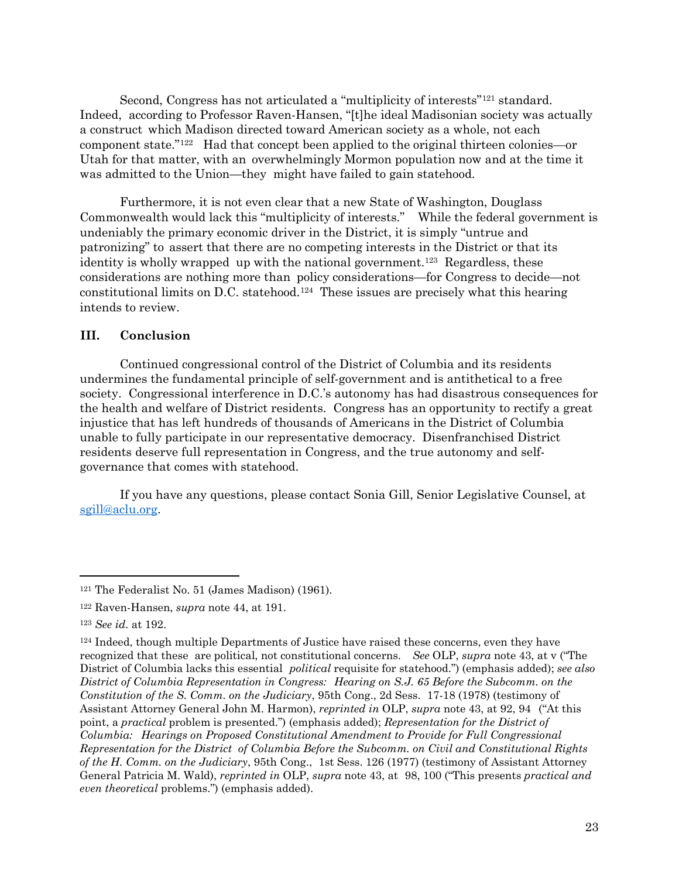Second, Congress has not articulated a "multiplicity of interests"[121](#page-22-0) standard. Indeed, according to Professor Raven-Hansen, "[t]he ideal Madisonian society was actually a construct which Madison directed toward American society as a whole, not each component state.["122](#page-22-1) Had that concept been applied to the original thirteen colonies—or Utah for that matter, with an overwhelmingly Mormon population now and at the time it was admitted to the Union—they might have failed to gain statehood.

Furthermore, it is not even clear that a new State of Washington, Douglass Commonwealth would lack this "multiplicity of interests." While the federal government is undeniably the primary economic driver in the District, it is simply "untrue and patronizing" to assert that there are no competing interests in the District or that its identity is wholly wrapped up with the national government.<sup>123</sup> Regardless, these considerations are nothing more than policy considerations—for Congress to decide—not constitutional limits on D.C. statehood.[124](#page-22-3) These issues are precisely what this hearing intends to review.

### **III. Conclusion**

Continued congressional control of the District of Columbia and its residents undermines the fundamental principle of self-government and is antithetical to a free society. Congressional interference in D.C.'s autonomy has had disastrous consequences for the health and welfare of District residents. Congress has an opportunity to rectify a great injustice that has left hundreds of thousands of Americans in the District of Columbia unable to fully participate in our representative democracy. Disenfranchised District residents deserve full representation in Congress, and the true autonomy and selfgovernance that comes with statehood.

If you have any questions, please contact Sonia Gill, Senior Legislative Counsel, at [sgill@aclu.org.](mailto:sgill@aclu.org)

<span id="page-22-0"></span><sup>121</sup> The Federalist No. 51 (James Madison) (1961).

<span id="page-22-1"></span><sup>122</sup> Raven-Hansen, *supra* note 44, at 191.

<span id="page-22-2"></span><sup>123</sup> *See id.* at 192.

<span id="page-22-3"></span><sup>124</sup> Indeed, though multiple Departments of Justice have raised these concerns, even they have recognized that these are political, not constitutional concerns. *See* OLP, *supra* note 43, at v ("The District of Columbia lacks this essential *political* requisite for statehood.") (emphasis added); *see also District of Columbia Representation in Congress: Hearing on S.J. 65 Before the Subcomm. on the Constitution of the S. Comm. on the Judiciary*, 95th Cong., 2d Sess. 17-18 (1978) (testimony of Assistant Attorney General John M. Harmon), *reprinted in* OLP, *supra* note 43, at 92, 94 ("At this point, a *practical* problem is presented.") (emphasis added); *Representation for the District of Columbia: Hearings on Proposed Constitutional Amendment to Provide for Full Congressional Representation for the District of Columbia Before the Subcomm. on Civil and Constitutional Rights of the H. Comm. on the Judiciary*, 95th Cong., 1st Sess. 126 (1977) (testimony of Assistant Attorney General Patricia M. Wald), *reprinted in* OLP, *supra* note 43, at 98, 100 ("This presents *practical and even theoretical* problems.") (emphasis added).